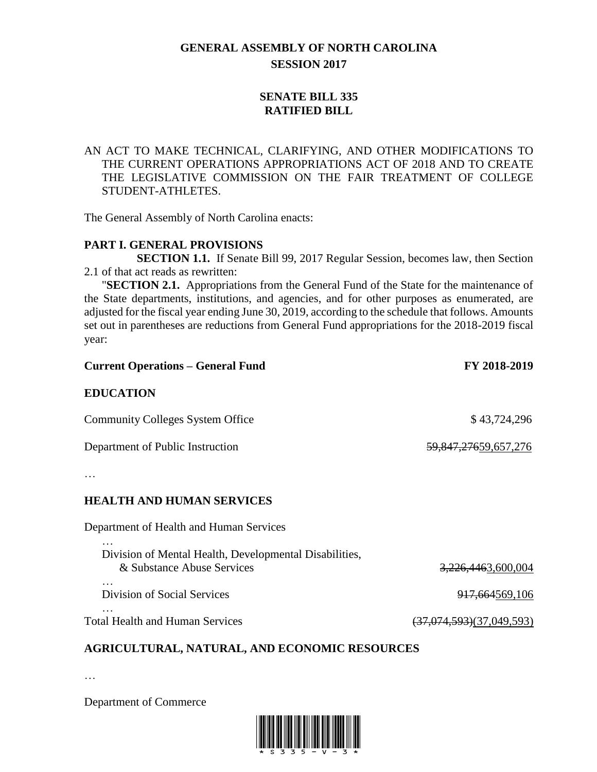# **GENERAL ASSEMBLY OF NORTH CAROLINA SESSION 2017**

## **SENATE BILL 335 RATIFIED BILL**

### AN ACT TO MAKE TECHNICAL, CLARIFYING, AND OTHER MODIFICATIONS TO THE CURRENT OPERATIONS APPROPRIATIONS ACT OF 2018 AND TO CREATE THE LEGISLATIVE COMMISSION ON THE FAIR TREATMENT OF COLLEGE STUDENT-ATHLETES.

The General Assembly of North Carolina enacts:

#### **PART I. GENERAL PROVISIONS**

**SECTION 1.1.** If Senate Bill 99, 2017 Regular Session, becomes law, then Section 2.1 of that act reads as rewritten:

"**SECTION 2.1.** Appropriations from the General Fund of the State for the maintenance of the State departments, institutions, and agencies, and for other purposes as enumerated, are adjusted for the fiscal year ending June 30, 2019, according to the schedule that follows. Amounts set out in parentheses are reductions from General Fund appropriations for the 2018-2019 fiscal year:

| <b>Current Operations – General Fund</b> | FY 2018-2019         |
|------------------------------------------|----------------------|
| <b>EDUCATION</b>                         |                      |
| <b>Community Colleges System Office</b>  | \$43,724,296         |
| Department of Public Instruction         | 59,847,27659,657,276 |

…

…

#### **HEALTH AND HUMAN SERVICES**

Department of Health and Human Services

| Division of Mental Health, Developmental Disabilities,<br>& Substance Abuse Services | <del>3,226,446</del> 3,600,004 |
|--------------------------------------------------------------------------------------|--------------------------------|
| $\cdot$<br>Division of Social Services                                               | <del>917,664</del> 569,106     |
| $\ddotsc$                                                                            |                                |

Total Health and Human Services (37,074,593)(37,049,593)

# **AGRICULTURAL, NATURAL, AND ECONOMIC RESOURCES**

…

Department of Commerce

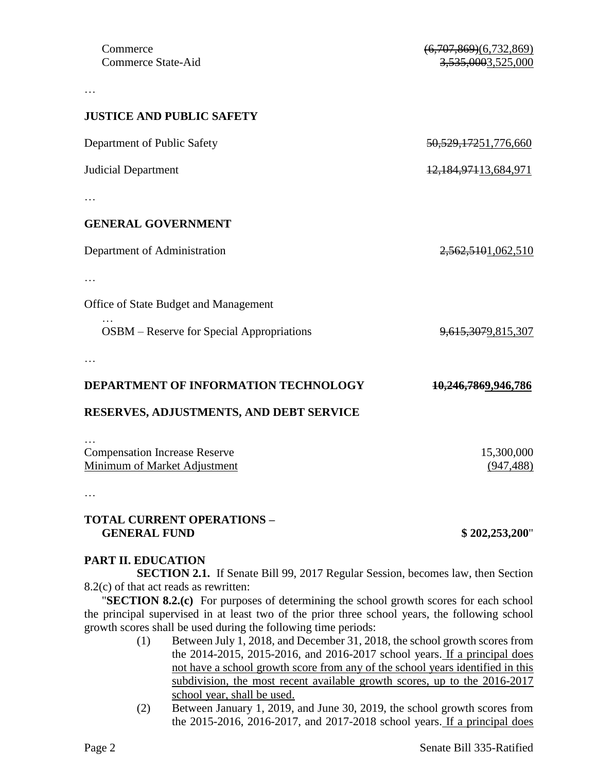**JUSTICE AND PUBLIC SAFETY**

…

| Department of Public Safety                                                                                                        | 50, 529, 17251, 776, 660  |
|------------------------------------------------------------------------------------------------------------------------------------|---------------------------|
| <b>Judicial Department</b>                                                                                                         | 12, 184, 971 13, 684, 971 |
|                                                                                                                                    |                           |
| <b>GENERAL GOVERNMENT</b>                                                                                                          |                           |
| Department of Administration                                                                                                       | 2,562,5101,062,510        |
|                                                                                                                                    |                           |
| Office of State Budget and Management                                                                                              |                           |
| OSBM – Reserve for Special Appropriations                                                                                          | 9,615,3079,815,307        |
|                                                                                                                                    |                           |
| DEPARTMENT OF INFORMATION TECHNOLOGY                                                                                               | 10,246,7869,946,786       |
| RESERVES, ADJUSTMENTS, AND DEBT SERVICE                                                                                            |                           |
|                                                                                                                                    |                           |
| <b>Compensation Increase Reserve</b><br>Minimum of Market Adjustment                                                               | 15,300,000<br>(947, 488)  |
|                                                                                                                                    |                           |
| <b>TOTAL CURRENT OPERATIONS -</b><br><b>GENERAL FUND</b>                                                                           | \$202,253,200"            |
| <b>PART II. EDUCATION</b>                                                                                                          |                           |
| <b>SECTION 2.1.</b> If Senate Bill 99, 2017 Regular Session, becomes law, then Section<br>$8.2(c)$ of that act reads as rewritten: |                           |

"**SECTION 8.2.(c)** For purposes of determining the school growth scores for each school the principal supervised in at least two of the prior three school years, the following school growth scores shall be used during the following time periods:

- (1) Between July 1, 2018, and December 31, 2018, the school growth scores from the 2014-2015, 2015-2016, and 2016-2017 school years. If a principal does not have a school growth score from any of the school years identified in this subdivision, the most recent available growth scores, up to the 2016-2017 school year, shall be used.
- (2) Between January 1, 2019, and June 30, 2019, the school growth scores from the 2015-2016, 2016-2017, and 2017-2018 school years. If a principal does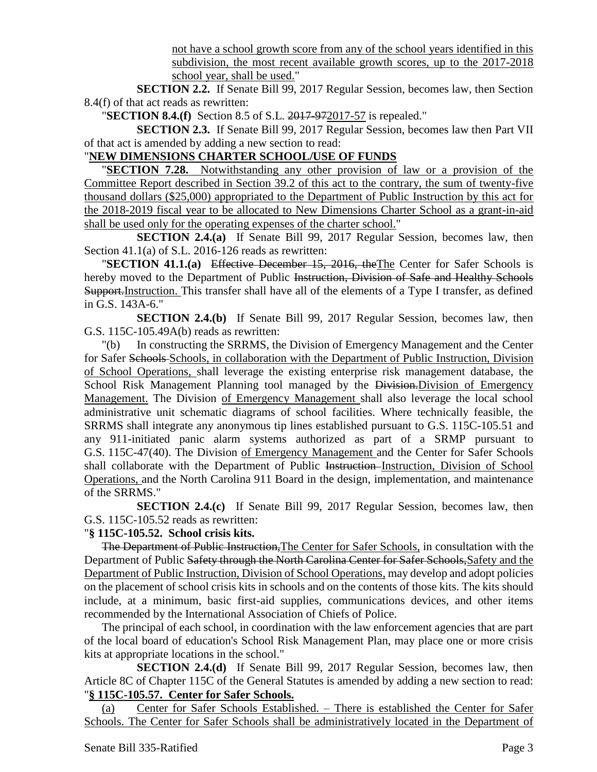not have a school growth score from any of the school years identified in this subdivision, the most recent available growth scores, up to the 2017-2018 school year, shall be used."

**SECTION 2.2.** If Senate Bill 99, 2017 Regular Session, becomes law, then Section 8.4(f) of that act reads as rewritten:

"**SECTION 8.4.(f)** Section 8.5 of S.L. 2017-972017-57 is repealed."

**SECTION 2.3.** If Senate Bill 99, 2017 Regular Session, becomes law then Part VII of that act is amended by adding a new section to read:

# "**NEW DIMENSIONS CHARTER SCHOOL/USE OF FUNDS**

**SECTION 7.28.** Notwithstanding any other provision of law or a provision of the Committee Report described in Section 39.2 of this act to the contrary, the sum of twenty-five thousand dollars (\$25,000) appropriated to the Department of Public Instruction by this act for the 2018-2019 fiscal year to be allocated to New Dimensions Charter School as a grant-in-aid shall be used only for the operating expenses of the charter school."

**SECTION 2.4.(a)** If Senate Bill 99, 2017 Regular Session, becomes law, then Section 41.1(a) of S.L. 2016-126 reads as rewritten:

"**SECTION 41.1.(a)** Effective December 15, 2016, theThe Center for Safer Schools is hereby moved to the Department of Public Instruction, Division of Safe and Healthy Schools Support. Instruction. This transfer shall have all of the elements of a Type I transfer, as defined in G.S. 143A-6."

**SECTION 2.4.(b)** If Senate Bill 99, 2017 Regular Session, becomes law, then G.S. 115C-105.49A(b) reads as rewritten:

"(b) In constructing the SRRMS, the Division of Emergency Management and the Center for Safer Schools Schools, in collaboration with the Department of Public Instruction, Division of School Operations, shall leverage the existing enterprise risk management database, the School Risk Management Planning tool managed by the Division-Division of Emergency Management. The Division of Emergency Management shall also leverage the local school administrative unit schematic diagrams of school facilities. Where technically feasible, the SRRMS shall integrate any anonymous tip lines established pursuant to G.S. 115C-105.51 and any 911-initiated panic alarm systems authorized as part of a SRMP pursuant to G.S. 115C-47(40). The Division of Emergency Management and the Center for Safer Schools shall collaborate with the Department of Public Instruction-Instruction, Division of School Operations, and the North Carolina 911 Board in the design, implementation, and maintenance of the SRRMS."

**SECTION 2.4.(c)** If Senate Bill 99, 2017 Regular Session, becomes law, then G.S. 115C-105.52 reads as rewritten:

### "**§ 115C-105.52. School crisis kits.**

The Department of Public Instruction, The Center for Safer Schools, in consultation with the Department of Public Safety through the North Carolina Center for Safer Schools, Safety and the Department of Public Instruction, Division of School Operations, may develop and adopt policies on the placement of school crisis kits in schools and on the contents of those kits. The kits should include, at a minimum, basic first-aid supplies, communications devices, and other items recommended by the International Association of Chiefs of Police.

The principal of each school, in coordination with the law enforcement agencies that are part of the local board of education's School Risk Management Plan, may place one or more crisis kits at appropriate locations in the school."

**SECTION 2.4.(d)** If Senate Bill 99, 2017 Regular Session, becomes law, then Article 8C of Chapter 115C of the General Statutes is amended by adding a new section to read: "**§ 115C-105.57. Center for Safer Schools.**

(a) Center for Safer Schools Established. – There is established the Center for Safer Schools. The Center for Safer Schools shall be administratively located in the Department of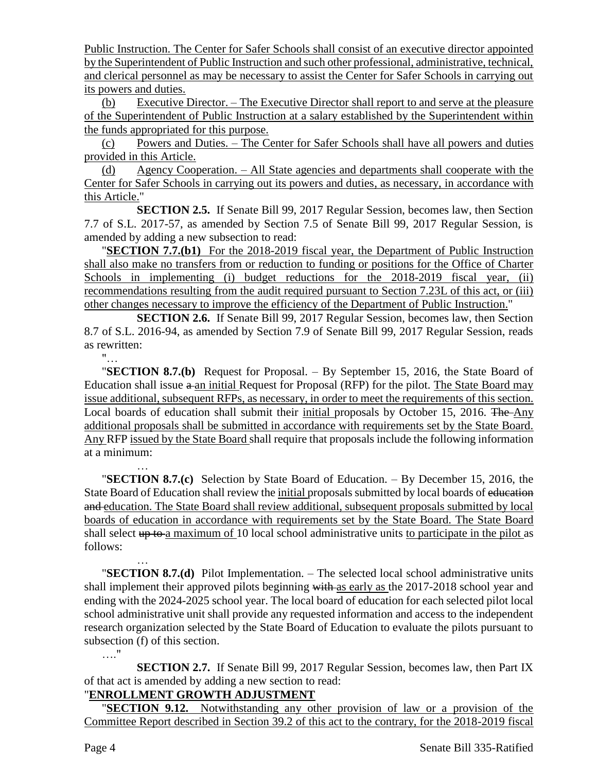Public Instruction. The Center for Safer Schools shall consist of an executive director appointed by the Superintendent of Public Instruction and such other professional, administrative, technical, and clerical personnel as may be necessary to assist the Center for Safer Schools in carrying out its powers and duties.

(b) Executive Director. – The Executive Director shall report to and serve at the pleasure of the Superintendent of Public Instruction at a salary established by the Superintendent within the funds appropriated for this purpose.

(c) Powers and Duties. – The Center for Safer Schools shall have all powers and duties provided in this Article.

(d) Agency Cooperation. – All State agencies and departments shall cooperate with the Center for Safer Schools in carrying out its powers and duties, as necessary, in accordance with this Article."

**SECTION 2.5.** If Senate Bill 99, 2017 Regular Session, becomes law, then Section 7.7 of S.L. 2017-57, as amended by Section 7.5 of Senate Bill 99, 2017 Regular Session, is amended by adding a new subsection to read:

"**SECTION 7.7.(b1)** For the 2018-2019 fiscal year, the Department of Public Instruction shall also make no transfers from or reduction to funding or positions for the Office of Charter Schools in implementing (i) budget reductions for the 2018-2019 fiscal year, (ii) recommendations resulting from the audit required pursuant to Section 7.23L of this act, or (iii) other changes necessary to improve the efficiency of the Department of Public Instruction."

**SECTION 2.6.** If Senate Bill 99, 2017 Regular Session, becomes law, then Section 8.7 of S.L. 2016-94, as amended by Section 7.9 of Senate Bill 99, 2017 Regular Session, reads as rewritten:

"…

…

"**SECTION 8.7.(b)** Request for Proposal. – By September 15, 2016, the State Board of Education shall issue a an initial Request for Proposal (RFP) for the pilot. The State Board may issue additional, subsequent RFPs, as necessary, in order to meet the requirements of this section. Local boards of education shall submit their initial proposals by October 15, 2016. The Any additional proposals shall be submitted in accordance with requirements set by the State Board. Any RFP issued by the State Board shall require that proposals include the following information at a minimum:

… "**SECTION 8.7.(c)** Selection by State Board of Education. – By December 15, 2016, the State Board of Education shall review the initial proposals submitted by local boards of education and education. The State Board shall review additional, subsequent proposals submitted by local boards of education in accordance with requirements set by the State Board. The State Board shall select up to a maximum of 10 local school administrative units to participate in the pilot as follows:

"**SECTION 8.7.(d)** Pilot Implementation. – The selected local school administrative units shall implement their approved pilots beginning with as early as the 2017-2018 school year and ending with the 2024-2025 school year. The local board of education for each selected pilot local school administrative unit shall provide any requested information and access to the independent research organization selected by the State Board of Education to evaluate the pilots pursuant to subsection (f) of this section. …."

**SECTION 2.7.** If Senate Bill 99, 2017 Regular Session, becomes law, then Part IX of that act is amended by adding a new section to read:

# "**ENROLLMENT GROWTH ADJUSTMENT**

"**SECTION 9.12.** Notwithstanding any other provision of law or a provision of the Committee Report described in Section 39.2 of this act to the contrary, for the 2018-2019 fiscal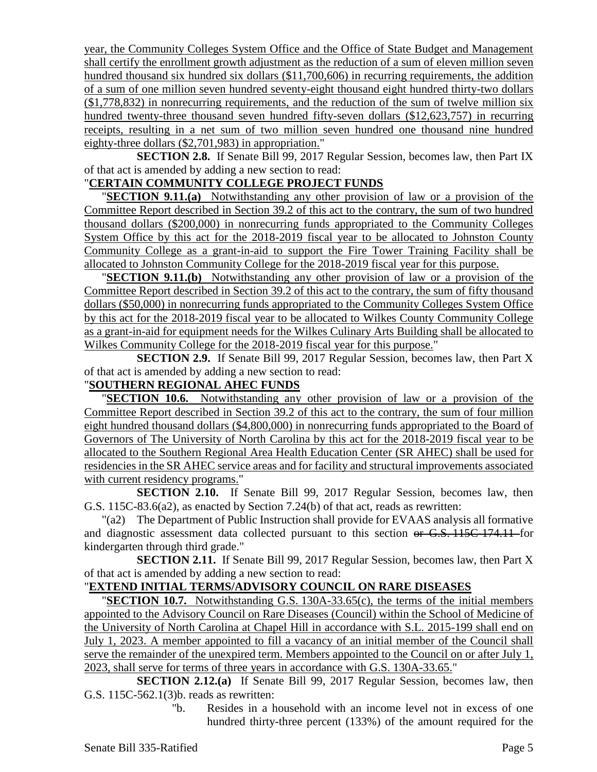year, the Community Colleges System Office and the Office of State Budget and Management shall certify the enrollment growth adjustment as the reduction of a sum of eleven million seven hundred thousand six hundred six dollars (\$11,700,606) in recurring requirements, the addition of a sum of one million seven hundred seventy-eight thousand eight hundred thirty-two dollars (\$1,778,832) in nonrecurring requirements, and the reduction of the sum of twelve million six hundred twenty-three thousand seven hundred fifty-seven dollars (\$12,623,757) in recurring receipts, resulting in a net sum of two million seven hundred one thousand nine hundred eighty-three dollars (\$2,701,983) in appropriation."

**SECTION 2.8.** If Senate Bill 99, 2017 Regular Session, becomes law, then Part IX of that act is amended by adding a new section to read:

#### "**CERTAIN COMMUNITY COLLEGE PROJECT FUNDS**

"**SECTION 9.11.(a)** Notwithstanding any other provision of law or a provision of the Committee Report described in Section 39.2 of this act to the contrary, the sum of two hundred thousand dollars (\$200,000) in nonrecurring funds appropriated to the Community Colleges System Office by this act for the 2018-2019 fiscal year to be allocated to Johnston County Community College as a grant-in-aid to support the Fire Tower Training Facility shall be allocated to Johnston Community College for the 2018-2019 fiscal year for this purpose.

"**SECTION 9.11.(b)** Notwithstanding any other provision of law or a provision of the Committee Report described in Section 39.2 of this act to the contrary, the sum of fifty thousand dollars (\$50,000) in nonrecurring funds appropriated to the Community Colleges System Office by this act for the 2018-2019 fiscal year to be allocated to Wilkes County Community College as a grant-in-aid for equipment needs for the Wilkes Culinary Arts Building shall be allocated to Wilkes Community College for the 2018-2019 fiscal year for this purpose."

**SECTION 2.9.** If Senate Bill 99, 2017 Regular Session, becomes law, then Part X of that act is amended by adding a new section to read:

## "**SOUTHERN REGIONAL AHEC FUNDS**

"**SECTION 10.6.** Notwithstanding any other provision of law or a provision of the Committee Report described in Section 39.2 of this act to the contrary, the sum of four million eight hundred thousand dollars (\$4,800,000) in nonrecurring funds appropriated to the Board of Governors of The University of North Carolina by this act for the 2018-2019 fiscal year to be allocated to the Southern Regional Area Health Education Center (SR AHEC) shall be used for residencies in the SR AHEC service areas and for facility and structural improvements associated with current residency programs."

**SECTION 2.10.** If Senate Bill 99, 2017 Regular Session, becomes law, then G.S. 115C-83.6(a2), as enacted by Section 7.24(b) of that act, reads as rewritten:

"(a2) The Department of Public Instruction shall provide for EVAAS analysis all formative and diagnostic assessment data collected pursuant to this section or G.S. 115C-174.11 for kindergarten through third grade."

**SECTION 2.11.** If Senate Bill 99, 2017 Regular Session, becomes law, then Part X of that act is amended by adding a new section to read:

## "**EXTEND INITIAL TERMS/ADVISORY COUNCIL ON RARE DISEASES**

"**SECTION 10.7.** Notwithstanding G.S. 130A-33.65(c), the terms of the initial members appointed to the Advisory Council on Rare Diseases (Council) within the School of Medicine of the University of North Carolina at Chapel Hill in accordance with S.L. 2015-199 shall end on July 1, 2023. A member appointed to fill a vacancy of an initial member of the Council shall serve the remainder of the unexpired term. Members appointed to the Council on or after July 1, 2023, shall serve for terms of three years in accordance with G.S. 130A-33.65."

**SECTION 2.12.(a)** If Senate Bill 99, 2017 Regular Session, becomes law, then G.S. 115C-562.1(3)b. reads as rewritten:

"b. Resides in a household with an income level not in excess of one hundred thirty-three percent (133%) of the amount required for the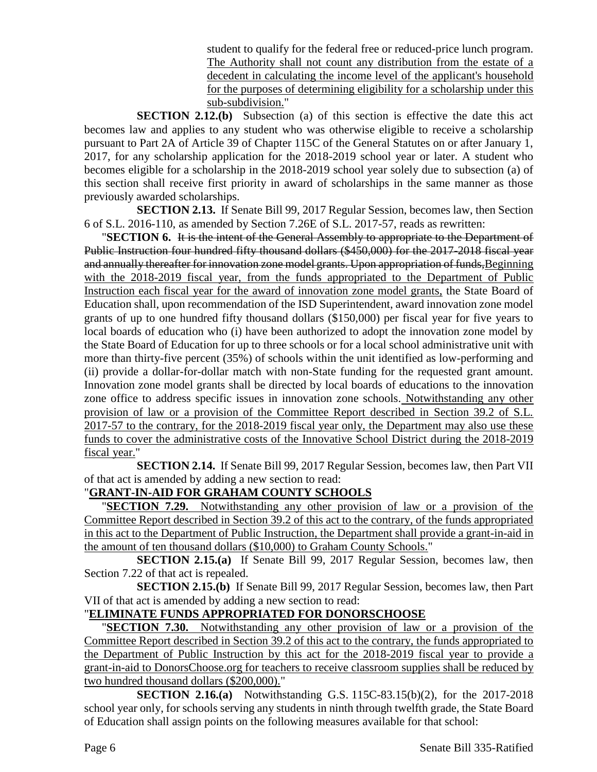student to qualify for the federal free or reduced-price lunch program. The Authority shall not count any distribution from the estate of a decedent in calculating the income level of the applicant's household for the purposes of determining eligibility for a scholarship under this sub-subdivision."

**SECTION 2.12.(b)** Subsection (a) of this section is effective the date this act becomes law and applies to any student who was otherwise eligible to receive a scholarship pursuant to Part 2A of Article 39 of Chapter 115C of the General Statutes on or after January 1, 2017, for any scholarship application for the 2018-2019 school year or later. A student who becomes eligible for a scholarship in the 2018-2019 school year solely due to subsection (a) of this section shall receive first priority in award of scholarships in the same manner as those previously awarded scholarships.

**SECTION 2.13.** If Senate Bill 99, 2017 Regular Session, becomes law, then Section 6 of S.L. 2016-110, as amended by Section 7.26E of S.L. 2017-57, reads as rewritten:

"**SECTION 6.** It is the intent of the General Assembly to appropriate to the Department of Public Instruction four hundred fifty thousand dollars (\$450,000) for the 2017-2018 fiscal year and annually thereafter for innovation zone model grants. Upon appropriation of funds, Beginning with the 2018-2019 fiscal year, from the funds appropriated to the Department of Public Instruction each fiscal year for the award of innovation zone model grants, the State Board of Education shall, upon recommendation of the ISD Superintendent, award innovation zone model grants of up to one hundred fifty thousand dollars (\$150,000) per fiscal year for five years to local boards of education who (i) have been authorized to adopt the innovation zone model by the State Board of Education for up to three schools or for a local school administrative unit with more than thirty-five percent (35%) of schools within the unit identified as low-performing and (ii) provide a dollar-for-dollar match with non-State funding for the requested grant amount. Innovation zone model grants shall be directed by local boards of educations to the innovation zone office to address specific issues in innovation zone schools. Notwithstanding any other provision of law or a provision of the Committee Report described in Section 39.2 of S.L. 2017-57 to the contrary, for the 2018-2019 fiscal year only, the Department may also use these funds to cover the administrative costs of the Innovative School District during the 2018-2019 fiscal year."

**SECTION 2.14.** If Senate Bill 99, 2017 Regular Session, becomes law, then Part VII of that act is amended by adding a new section to read:

# "**GRANT-IN-AID FOR GRAHAM COUNTY SCHOOLS**

"**SECTION 7.29.** Notwithstanding any other provision of law or a provision of the Committee Report described in Section 39.2 of this act to the contrary, of the funds appropriated in this act to the Department of Public Instruction, the Department shall provide a grant-in-aid in the amount of ten thousand dollars (\$10,000) to Graham County Schools."

**SECTION 2.15.(a)** If Senate Bill 99, 2017 Regular Session, becomes law, then Section 7.22 of that act is repealed.

**SECTION 2.15.(b)** If Senate Bill 99, 2017 Regular Session, becomes law, then Part VII of that act is amended by adding a new section to read:

# "**ELIMINATE FUNDS APPROPRIATED FOR DONORSCHOOSE**

"**SECTION 7.30.** Notwithstanding any other provision of law or a provision of the Committee Report described in Section 39.2 of this act to the contrary, the funds appropriated to the Department of Public Instruction by this act for the 2018-2019 fiscal year to provide a grant-in-aid to DonorsChoose.org for teachers to receive classroom supplies shall be reduced by two hundred thousand dollars (\$200,000)."

**SECTION 2.16.(a)** Notwithstanding G.S. 115C-83.15(b)(2), for the 2017-2018 school year only, for schools serving any students in ninth through twelfth grade, the State Board of Education shall assign points on the following measures available for that school: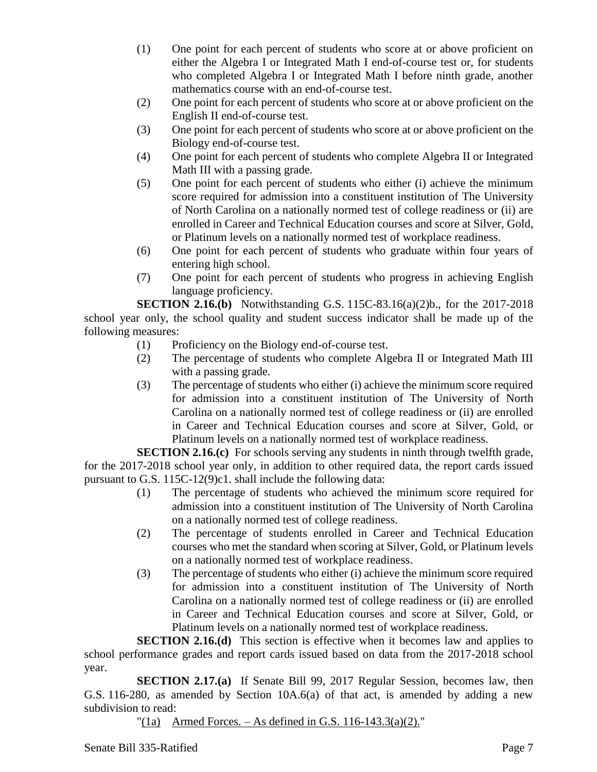- (1) One point for each percent of students who score at or above proficient on either the Algebra I or Integrated Math I end-of-course test or, for students who completed Algebra I or Integrated Math I before ninth grade, another mathematics course with an end-of-course test.
- (2) One point for each percent of students who score at or above proficient on the English II end-of-course test.
- (3) One point for each percent of students who score at or above proficient on the Biology end-of-course test.
- (4) One point for each percent of students who complete Algebra II or Integrated Math III with a passing grade.
- (5) One point for each percent of students who either (i) achieve the minimum score required for admission into a constituent institution of The University of North Carolina on a nationally normed test of college readiness or (ii) are enrolled in Career and Technical Education courses and score at Silver, Gold, or Platinum levels on a nationally normed test of workplace readiness.
- (6) One point for each percent of students who graduate within four years of entering high school.
- (7) One point for each percent of students who progress in achieving English language proficiency.

**SECTION 2.16.(b)** Notwithstanding G.S. 115C-83.16(a)(2)b., for the 2017-2018 school year only, the school quality and student success indicator shall be made up of the following measures:

- (1) Proficiency on the Biology end-of-course test.
- (2) The percentage of students who complete Algebra II or Integrated Math III with a passing grade.
- (3) The percentage of students who either (i) achieve the minimum score required for admission into a constituent institution of The University of North Carolina on a nationally normed test of college readiness or (ii) are enrolled in Career and Technical Education courses and score at Silver, Gold, or Platinum levels on a nationally normed test of workplace readiness.

**SECTION 2.16.(c)** For schools serving any students in ninth through twelfth grade, for the 2017-2018 school year only, in addition to other required data, the report cards issued pursuant to G.S. 115C-12(9)c1. shall include the following data:

- (1) The percentage of students who achieved the minimum score required for admission into a constituent institution of The University of North Carolina on a nationally normed test of college readiness.
- (2) The percentage of students enrolled in Career and Technical Education courses who met the standard when scoring at Silver, Gold, or Platinum levels on a nationally normed test of workplace readiness.
- (3) The percentage of students who either (i) achieve the minimum score required for admission into a constituent institution of The University of North Carolina on a nationally normed test of college readiness or (ii) are enrolled in Career and Technical Education courses and score at Silver, Gold, or Platinum levels on a nationally normed test of workplace readiness.

**SECTION 2.16.(d)** This section is effective when it becomes law and applies to school performance grades and report cards issued based on data from the 2017-2018 school year.

**SECTION 2.17.(a)** If Senate Bill 99, 2017 Regular Session, becomes law, then G.S. 116-280, as amended by Section 10A.6(a) of that act, is amended by adding a new subdivision to read:

 $^{\prime\prime}(1a)$  Armed Forces. – As defined in G.S. 116-143.3(a)(2)."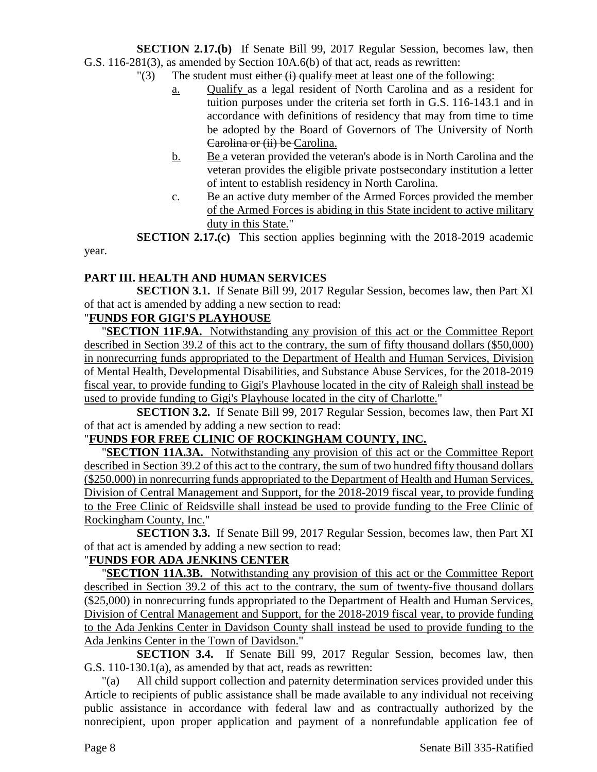**SECTION 2.17.(b)** If Senate Bill 99, 2017 Regular Session, becomes law, then G.S. 116-281(3), as amended by Section 10A.6(b) of that act, reads as rewritten:

- $\Gamma(3)$  The student must either (i) qualify meet at least one of the following:
	- a. Qualify as a legal resident of North Carolina and as a resident for tuition purposes under the criteria set forth in G.S. 116-143.1 and in accordance with definitions of residency that may from time to time be adopted by the Board of Governors of The University of North Carolina or (ii) be Carolina.
	- b. Be a veteran provided the veteran's abode is in North Carolina and the veteran provides the eligible private postsecondary institution a letter of intent to establish residency in North Carolina.
	- c. Be an active duty member of the Armed Forces provided the member of the Armed Forces is abiding in this State incident to active military duty in this State."

**SECTION 2.17.(c)** This section applies beginning with the 2018-2019 academic

### **PART III. HEALTH AND HUMAN SERVICES**

**SECTION 3.1.** If Senate Bill 99, 2017 Regular Session, becomes law, then Part XI of that act is amended by adding a new section to read:

# "**FUNDS FOR GIGI'S PLAYHOUSE**

year.

"**SECTION 11F.9A.** Notwithstanding any provision of this act or the Committee Report described in Section 39.2 of this act to the contrary, the sum of fifty thousand dollars (\$50,000) in nonrecurring funds appropriated to the Department of Health and Human Services, Division of Mental Health, Developmental Disabilities, and Substance Abuse Services, for the 2018-2019 fiscal year, to provide funding to Gigi's Playhouse located in the city of Raleigh shall instead be used to provide funding to Gigi's Playhouse located in the city of Charlotte."

**SECTION 3.2.** If Senate Bill 99, 2017 Regular Session, becomes law, then Part XI of that act is amended by adding a new section to read:

### "**FUNDS FOR FREE CLINIC OF ROCKINGHAM COUNTY, INC.**

"**SECTION 11A.3A.** Notwithstanding any provision of this act or the Committee Report described in Section 39.2 of this act to the contrary, the sum of two hundred fifty thousand dollars (\$250,000) in nonrecurring funds appropriated to the Department of Health and Human Services, Division of Central Management and Support, for the 2018-2019 fiscal year, to provide funding to the Free Clinic of Reidsville shall instead be used to provide funding to the Free Clinic of Rockingham County, Inc."

**SECTION 3.3.** If Senate Bill 99, 2017 Regular Session, becomes law, then Part XI of that act is amended by adding a new section to read:

# "**FUNDS FOR ADA JENKINS CENTER**

"**SECTION 11A.3B.** Notwithstanding any provision of this act or the Committee Report described in Section 39.2 of this act to the contrary, the sum of twenty-five thousand dollars (\$25,000) in nonrecurring funds appropriated to the Department of Health and Human Services, Division of Central Management and Support, for the 2018-2019 fiscal year, to provide funding to the Ada Jenkins Center in Davidson County shall instead be used to provide funding to the Ada Jenkins Center in the Town of Davidson."

**SECTION 3.4.** If Senate Bill 99, 2017 Regular Session, becomes law, then G.S. 110-130.1(a), as amended by that act, reads as rewritten:

"(a) All child support collection and paternity determination services provided under this Article to recipients of public assistance shall be made available to any individual not receiving public assistance in accordance with federal law and as contractually authorized by the nonrecipient, upon proper application and payment of a nonrefundable application fee of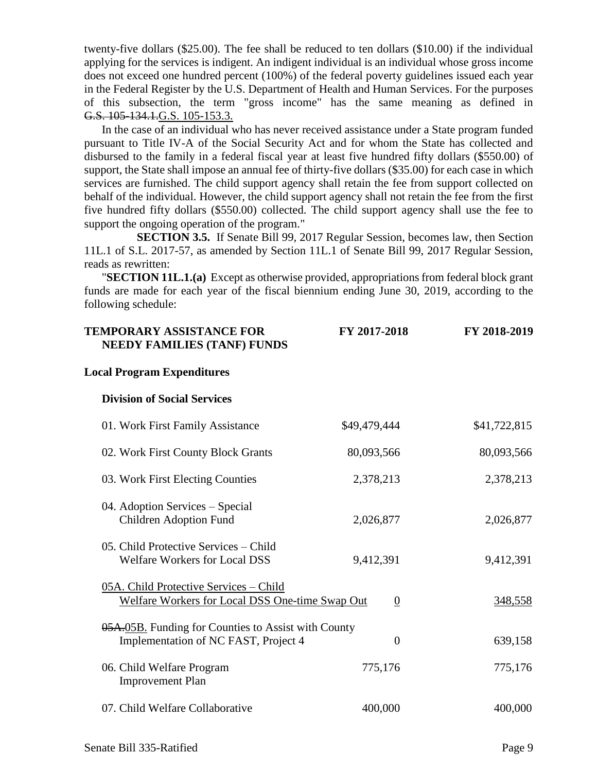twenty-five dollars (\$25.00). The fee shall be reduced to ten dollars (\$10.00) if the individual applying for the services is indigent. An indigent individual is an individual whose gross income does not exceed one hundred percent (100%) of the federal poverty guidelines issued each year in the Federal Register by the U.S. Department of Health and Human Services. For the purposes of this subsection, the term "gross income" has the same meaning as defined in G.S. 105-134.1.G.S. 105-153.3.

In the case of an individual who has never received assistance under a State program funded pursuant to Title IV-A of the Social Security Act and for whom the State has collected and disbursed to the family in a federal fiscal year at least five hundred fifty dollars (\$550.00) of support, the State shall impose an annual fee of thirty-five dollars (\$35.00) for each case in which services are furnished. The child support agency shall retain the fee from support collected on behalf of the individual. However, the child support agency shall not retain the fee from the first five hundred fifty dollars (\$550.00) collected. The child support agency shall use the fee to support the ongoing operation of the program."

**SECTION 3.5.** If Senate Bill 99, 2017 Regular Session, becomes law, then Section 11L.1 of S.L. 2017-57, as amended by Section 11L.1 of Senate Bill 99, 2017 Regular Session, reads as rewritten:

"**SECTION 11L.1.(a)** Except as otherwise provided, appropriations from federal block grant funds are made for each year of the fiscal biennium ending June 30, 2019, according to the following schedule:

| <b>TEMPORARY ASSISTANCE FOR</b><br><b>NEEDY FAMILIES (TANF) FUNDS</b>                       | FY 2017-2018     | FY 2018-2019 |
|---------------------------------------------------------------------------------------------|------------------|--------------|
| <b>Local Program Expenditures</b>                                                           |                  |              |
| <b>Division of Social Services</b>                                                          |                  |              |
| 01. Work First Family Assistance                                                            | \$49,479,444     | \$41,722,815 |
| 02. Work First County Block Grants                                                          | 80,093,566       | 80,093,566   |
| 03. Work First Electing Counties                                                            | 2,378,213        | 2,378,213    |
| 04. Adoption Services - Special<br><b>Children Adoption Fund</b>                            | 2,026,877        | 2,026,877    |
| 05. Child Protective Services – Child<br><b>Welfare Workers for Local DSS</b>               | 9,412,391        | 9,412,391    |
| 05A. Child Protective Services - Child<br>Welfare Workers for Local DSS One-time Swap Out   | $\boldsymbol{0}$ | 348,558      |
| 05A.05B. Funding for Counties to Assist with County<br>Implementation of NC FAST, Project 4 | $\overline{0}$   | 639,158      |
| 06. Child Welfare Program<br><b>Improvement Plan</b>                                        | 775,176          | 775,176      |
| 07. Child Welfare Collaborative                                                             | 400,000          | 400,000      |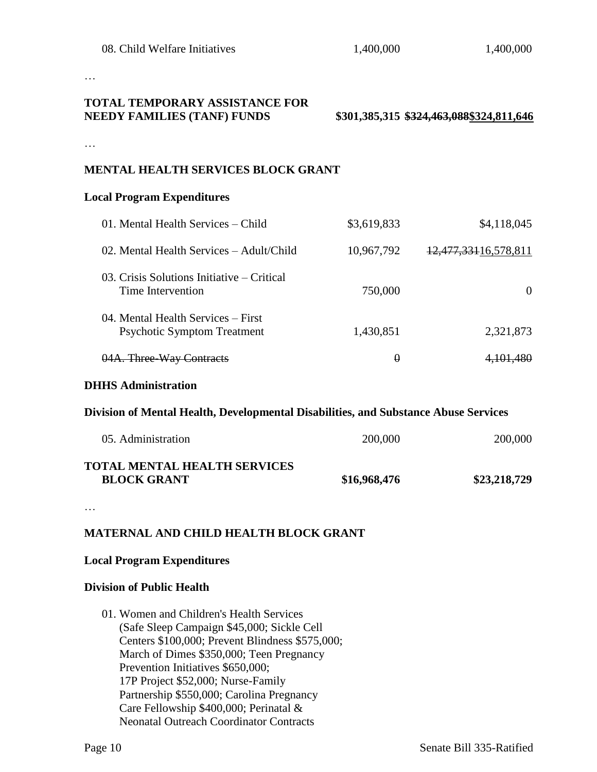…

# **TOTAL TEMPORARY ASSISTANCE FOR NEEDY FAMILIES (TANF) FUNDS \$301,385,315 \$324,463,088\$324,811,646**

…

#### **MENTAL HEALTH SERVICES BLOCK GRANT**

#### **Local Program Expenditures**

| 01. Mental Health Services - Child                                                  | \$3,619,833 | \$4,118,045          |  |
|-------------------------------------------------------------------------------------|-------------|----------------------|--|
| 02. Mental Health Services – Adult/Child                                            | 10,967,792  | 12,477,33116,578,811 |  |
| 03. Crisis Solutions Initiative – Critical<br>Time Intervention                     | 750,000     | $\Omega$             |  |
| 04. Mental Health Services – First<br><b>Psychotic Symptom Treatment</b>            | 1,430,851   | 2,321,873            |  |
| 04A. Three-Way Contracts                                                            | $\theta$    | 4,101,480            |  |
| <b>DHHS Administration</b>                                                          |             |                      |  |
| Division of Mental Health, Developmental Disabilities, and Substance Abuse Services |             |                      |  |
| 05. Administration                                                                  | 200,000     | 200,000              |  |

#### **TOTAL MENTAL HEALTH SERVICES BLOCK GRANT \$16,968,476 \$23,218,729**

…

### **MATERNAL AND CHILD HEALTH BLOCK GRANT**

#### **Local Program Expenditures**

#### **Division of Public Health**

01. Women and Children's Health Services (Safe Sleep Campaign \$45,000; Sickle Cell Centers \$100,000; Prevent Blindness \$575,000; March of Dimes \$350,000; Teen Pregnancy Prevention Initiatives \$650,000; 17P Project \$52,000; Nurse-Family Partnership \$550,000; Carolina Pregnancy Care Fellowship \$400,000; Perinatal & Neonatal Outreach Coordinator Contracts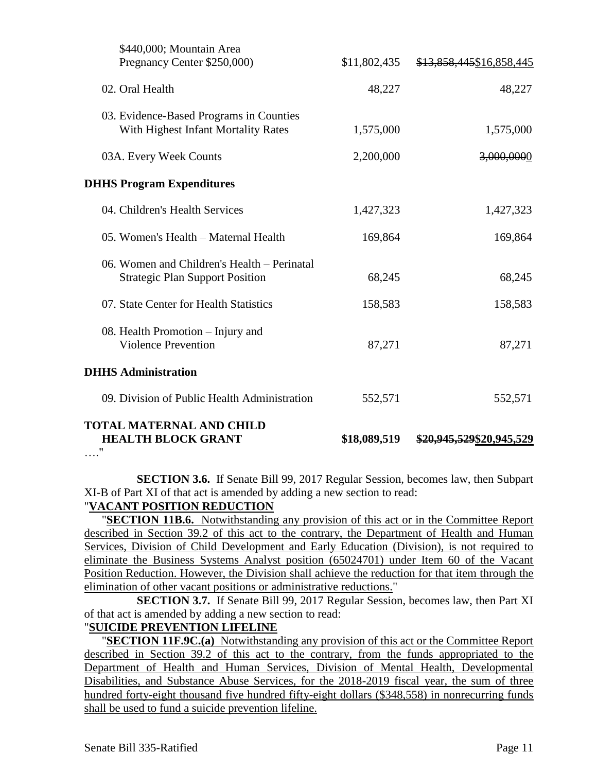| <b>TOTAL MATERNAL AND CHILD</b><br><b>HEALTH BLOCK GRANT</b><br>11                    | \$18,089,519 | \$20,945,529\$20,945,529 |
|---------------------------------------------------------------------------------------|--------------|--------------------------|
| 09. Division of Public Health Administration                                          | 552,571      | 552,571                  |
| <b>DHHS Administration</b>                                                            |              |                          |
| 08. Health Promotion – Injury and<br><b>Violence Prevention</b>                       | 87,271       | 87,271                   |
| 07. State Center for Health Statistics                                                | 158,583      | 158,583                  |
| 06. Women and Children's Health – Perinatal<br><b>Strategic Plan Support Position</b> | 68,245       | 68,245                   |
| 05. Women's Health - Maternal Health                                                  | 169,864      | 169,864                  |
| 04. Children's Health Services                                                        | 1,427,323    | 1,427,323                |
| <b>DHHS Program Expenditures</b>                                                      |              |                          |
| 03A. Every Week Counts                                                                | 2,200,000    | 3,000,0000               |
| 03. Evidence-Based Programs in Counties<br>With Highest Infant Mortality Rates        | 1,575,000    | 1,575,000                |
| 02. Oral Health                                                                       | 48,227       | 48,227                   |
| \$440,000; Mountain Area<br>Pregnancy Center \$250,000)                               | \$11,802,435 | \$13,858,445\$16,858,445 |

**SECTION 3.6.** If Senate Bill 99, 2017 Regular Session, becomes law, then Subpart XI-B of Part XI of that act is amended by adding a new section to read:

### "**VACANT POSITION REDUCTION**

"**SECTION 11B.6.** Notwithstanding any provision of this act or in the Committee Report described in Section 39.2 of this act to the contrary, the Department of Health and Human Services, Division of Child Development and Early Education (Division), is not required to eliminate the Business Systems Analyst position (65024701) under Item 60 of the Vacant Position Reduction. However, the Division shall achieve the reduction for that item through the elimination of other vacant positions or administrative reductions."

**SECTION 3.7.** If Senate Bill 99, 2017 Regular Session, becomes law, then Part XI of that act is amended by adding a new section to read:

#### "**SUICIDE PREVENTION LIFELINE**

"**SECTION 11F.9C.(a)** Notwithstanding any provision of this act or the Committee Report described in Section 39.2 of this act to the contrary, from the funds appropriated to the Department of Health and Human Services, Division of Mental Health, Developmental Disabilities, and Substance Abuse Services, for the 2018-2019 fiscal year, the sum of three hundred forty-eight thousand five hundred fifty-eight dollars (\$348,558) in nonrecurring funds shall be used to fund a suicide prevention lifeline.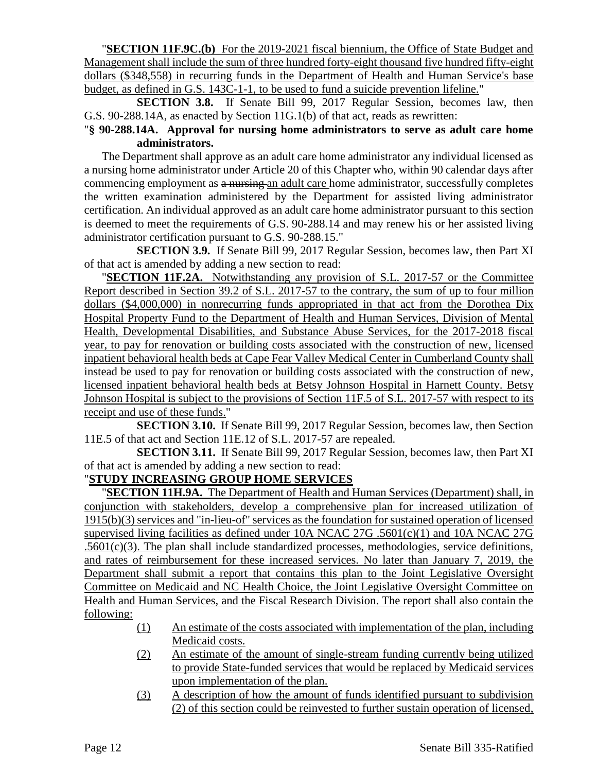"**SECTION 11F.9C.(b)** For the 2019-2021 fiscal biennium, the Office of State Budget and Management shall include the sum of three hundred forty-eight thousand five hundred fifty-eight dollars (\$348,558) in recurring funds in the Department of Health and Human Service's base budget, as defined in G.S. 143C-1-1, to be used to fund a suicide prevention lifeline."

**SECTION 3.8.** If Senate Bill 99, 2017 Regular Session, becomes law, then G.S. 90-288.14A, as enacted by Section 11G.1(b) of that act, reads as rewritten:

## "**§ 90-288.14A. Approval for nursing home administrators to serve as adult care home administrators.**

The Department shall approve as an adult care home administrator any individual licensed as a nursing home administrator under Article 20 of this Chapter who, within 90 calendar days after commencing employment as a nursing an adult care home administrator, successfully completes the written examination administered by the Department for assisted living administrator certification. An individual approved as an adult care home administrator pursuant to this section is deemed to meet the requirements of G.S. 90-288.14 and may renew his or her assisted living administrator certification pursuant to G.S. 90-288.15."

**SECTION 3.9.** If Senate Bill 99, 2017 Regular Session, becomes law, then Part XI of that act is amended by adding a new section to read:

"**SECTION 11F.2A.** Notwithstanding any provision of S.L. 2017-57 or the Committee Report described in Section 39.2 of S.L. 2017-57 to the contrary, the sum of up to four million dollars (\$4,000,000) in nonrecurring funds appropriated in that act from the Dorothea Dix Hospital Property Fund to the Department of Health and Human Services, Division of Mental Health, Developmental Disabilities, and Substance Abuse Services, for the 2017-2018 fiscal year, to pay for renovation or building costs associated with the construction of new, licensed inpatient behavioral health beds at Cape Fear Valley Medical Center in Cumberland County shall instead be used to pay for renovation or building costs associated with the construction of new, licensed inpatient behavioral health beds at Betsy Johnson Hospital in Harnett County. Betsy Johnson Hospital is subject to the provisions of Section 11F.5 of S.L. 2017-57 with respect to its receipt and use of these funds."

**SECTION 3.10.** If Senate Bill 99, 2017 Regular Session, becomes law, then Section 11E.5 of that act and Section 11E.12 of S.L. 2017-57 are repealed.

**SECTION 3.11.** If Senate Bill 99, 2017 Regular Session, becomes law, then Part XI of that act is amended by adding a new section to read:

## "**STUDY INCREASING GROUP HOME SERVICES**

"**SECTION 11H.9A.** The Department of Health and Human Services (Department) shall, in conjunction with stakeholders, develop a comprehensive plan for increased utilization of 1915(b)(3) services and "in-lieu-of" services as the foundation for sustained operation of licensed supervised living facilities as defined under 10A NCAC 27G .5601(c)(1) and 10A NCAC 27G  $.5601(c)(3)$ . The plan shall include standardized processes, methodologies, service definitions, and rates of reimbursement for these increased services. No later than January 7, 2019, the Department shall submit a report that contains this plan to the Joint Legislative Oversight Committee on Medicaid and NC Health Choice, the Joint Legislative Oversight Committee on Health and Human Services, and the Fiscal Research Division. The report shall also contain the following:

- (1) An estimate of the costs associated with implementation of the plan, including Medicaid costs.
- (2) An estimate of the amount of single-stream funding currently being utilized to provide State-funded services that would be replaced by Medicaid services upon implementation of the plan.
- (3) A description of how the amount of funds identified pursuant to subdivision (2) of this section could be reinvested to further sustain operation of licensed,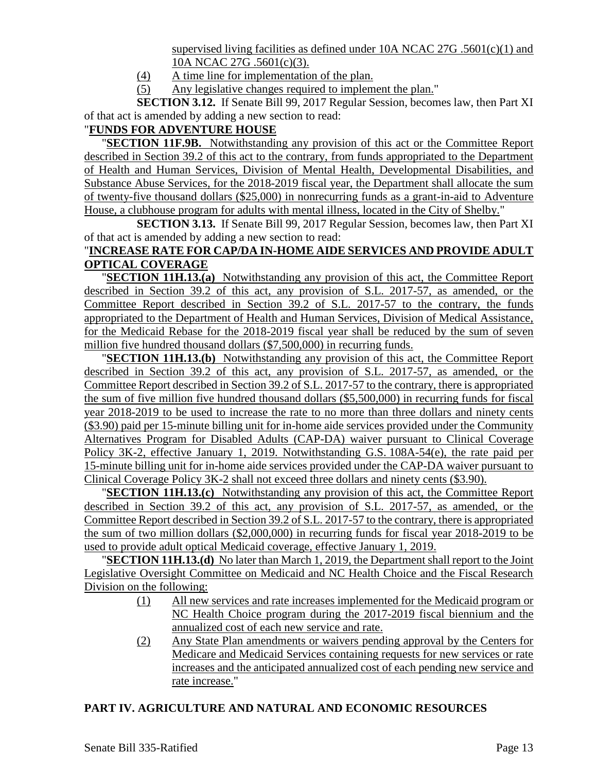supervised living facilities as defined under 10A NCAC 27G .5601 $(c)(1)$  and 10A NCAC 27G .5601(c)(3).

- (4) A time line for implementation of the plan.
- (5) Any legislative changes required to implement the plan."

**SECTION 3.12.** If Senate Bill 99, 2017 Regular Session, becomes law, then Part XI of that act is amended by adding a new section to read:

## "**FUNDS FOR ADVENTURE HOUSE**

"**SECTION 11F.9B.** Notwithstanding any provision of this act or the Committee Report described in Section 39.2 of this act to the contrary, from funds appropriated to the Department of Health and Human Services, Division of Mental Health, Developmental Disabilities, and Substance Abuse Services, for the 2018-2019 fiscal year, the Department shall allocate the sum of twenty-five thousand dollars (\$25,000) in nonrecurring funds as a grant-in-aid to Adventure House, a clubhouse program for adults with mental illness, located in the City of Shelby."

**SECTION 3.13.** If Senate Bill 99, 2017 Regular Session, becomes law, then Part XI of that act is amended by adding a new section to read:

### "**INCREASE RATE FOR CAP/DA IN-HOME AIDE SERVICES AND PROVIDE ADULT OPTICAL COVERAGE**

"**SECTION 11H.13.(a)** Notwithstanding any provision of this act, the Committee Report described in Section 39.2 of this act, any provision of S.L. 2017-57, as amended, or the Committee Report described in Section 39.2 of S.L. 2017-57 to the contrary, the funds appropriated to the Department of Health and Human Services, Division of Medical Assistance, for the Medicaid Rebase for the 2018-2019 fiscal year shall be reduced by the sum of seven million five hundred thousand dollars (\$7,500,000) in recurring funds.

"**SECTION 11H.13.(b)** Notwithstanding any provision of this act, the Committee Report described in Section 39.2 of this act, any provision of S.L. 2017-57, as amended, or the Committee Report described in Section 39.2 of S.L. 2017-57 to the contrary, there is appropriated the sum of five million five hundred thousand dollars (\$5,500,000) in recurring funds for fiscal year 2018-2019 to be used to increase the rate to no more than three dollars and ninety cents (\$3.90) paid per 15-minute billing unit for in-home aide services provided under the Community Alternatives Program for Disabled Adults (CAP-DA) waiver pursuant to Clinical Coverage Policy 3K-2, effective January 1, 2019. Notwithstanding G.S. 108A-54(e), the rate paid per 15-minute billing unit for in-home aide services provided under the CAP-DA waiver pursuant to Clinical Coverage Policy 3K-2 shall not exceed three dollars and ninety cents (\$3.90).

"**SECTION 11H.13.(c)** Notwithstanding any provision of this act, the Committee Report described in Section 39.2 of this act, any provision of S.L. 2017-57, as amended, or the Committee Report described in Section 39.2 of S.L. 2017-57 to the contrary, there is appropriated the sum of two million dollars (\$2,000,000) in recurring funds for fiscal year 2018-2019 to be used to provide adult optical Medicaid coverage, effective January 1, 2019.

"**SECTION 11H.13.(d)** No later than March 1, 2019, the Department shall report to the Joint Legislative Oversight Committee on Medicaid and NC Health Choice and the Fiscal Research Division on the following:

- (1) All new services and rate increases implemented for the Medicaid program or NC Health Choice program during the 2017-2019 fiscal biennium and the annualized cost of each new service and rate.
- (2) Any State Plan amendments or waivers pending approval by the Centers for Medicare and Medicaid Services containing requests for new services or rate increases and the anticipated annualized cost of each pending new service and rate increase."

### **PART IV. AGRICULTURE AND NATURAL AND ECONOMIC RESOURCES**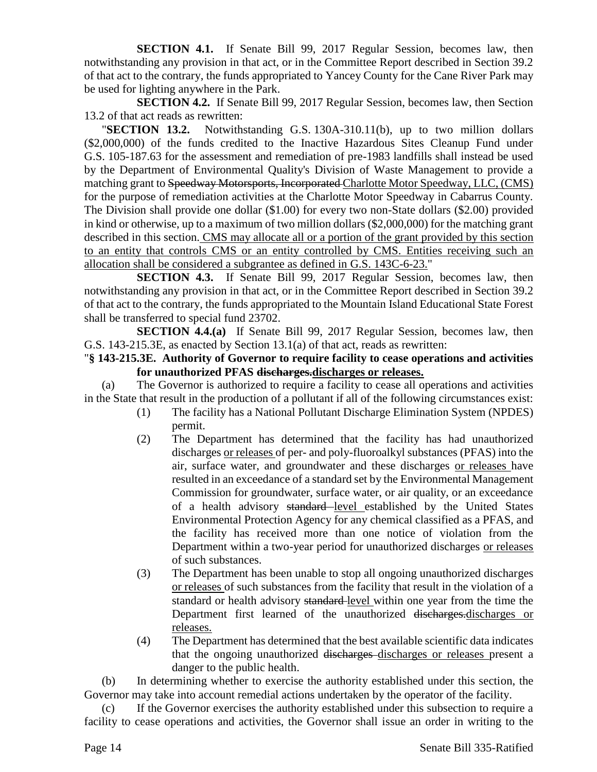**SECTION 4.1.** If Senate Bill 99, 2017 Regular Session, becomes law, then notwithstanding any provision in that act, or in the Committee Report described in Section 39.2 of that act to the contrary, the funds appropriated to Yancey County for the Cane River Park may be used for lighting anywhere in the Park.

**SECTION 4.2.** If Senate Bill 99, 2017 Regular Session, becomes law, then Section 13.2 of that act reads as rewritten:

"**SECTION 13.2.** Notwithstanding G.S. 130A-310.11(b), up to two million dollars (\$2,000,000) of the funds credited to the Inactive Hazardous Sites Cleanup Fund under G.S. 105-187.63 for the assessment and remediation of pre-1983 landfills shall instead be used by the Department of Environmental Quality's Division of Waste Management to provide a matching grant to Speedway Motorsports, Incorporated Charlotte Motor Speedway, LLC, (CMS) for the purpose of remediation activities at the Charlotte Motor Speedway in Cabarrus County. The Division shall provide one dollar (\$1.00) for every two non-State dollars (\$2.00) provided in kind or otherwise, up to a maximum of two million dollars (\$2,000,000) for the matching grant described in this section. CMS may allocate all or a portion of the grant provided by this section to an entity that controls CMS or an entity controlled by CMS. Entities receiving such an allocation shall be considered a subgrantee as defined in G.S. 143C-6-23."

**SECTION 4.3.** If Senate Bill 99, 2017 Regular Session, becomes law, then notwithstanding any provision in that act, or in the Committee Report described in Section 39.2 of that act to the contrary, the funds appropriated to the Mountain Island Educational State Forest shall be transferred to special fund 23702.

**SECTION 4.4.(a)** If Senate Bill 99, 2017 Regular Session, becomes law, then G.S. 143-215.3E, as enacted by Section 13.1(a) of that act, reads as rewritten:

#### "**§ 143-215.3E. Authority of Governor to require facility to cease operations and activities for unauthorized PFAS discharges.discharges or releases.**

(a) The Governor is authorized to require a facility to cease all operations and activities in the State that result in the production of a pollutant if all of the following circumstances exist:

- (1) The facility has a National Pollutant Discharge Elimination System (NPDES) permit.
- (2) The Department has determined that the facility has had unauthorized discharges or releases of per- and poly-fluoroalkyl substances (PFAS) into the air, surface water, and groundwater and these discharges or releases have resulted in an exceedance of a standard set by the Environmental Management Commission for groundwater, surface water, or air quality, or an exceedance of a health advisory standard level established by the United States Environmental Protection Agency for any chemical classified as a PFAS, and the facility has received more than one notice of violation from the Department within a two-year period for unauthorized discharges or releases of such substances.
- (3) The Department has been unable to stop all ongoing unauthorized discharges or releases of such substances from the facility that result in the violation of a standard or health advisory standard level within one year from the time the Department first learned of the unauthorized discharges-discharges or releases.
- (4) The Department has determined that the best available scientific data indicates that the ongoing unauthorized discharges discharges or releases present a danger to the public health.

(b) In determining whether to exercise the authority established under this section, the Governor may take into account remedial actions undertaken by the operator of the facility.

(c) If the Governor exercises the authority established under this subsection to require a facility to cease operations and activities, the Governor shall issue an order in writing to the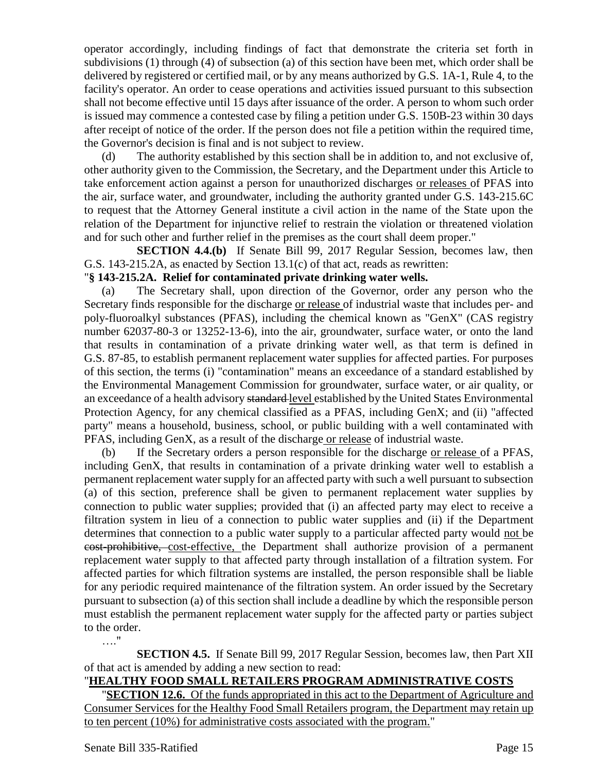operator accordingly, including findings of fact that demonstrate the criteria set forth in subdivisions (1) through (4) of subsection (a) of this section have been met, which order shall be delivered by registered or certified mail, or by any means authorized by G.S. 1A-1, Rule 4, to the facility's operator. An order to cease operations and activities issued pursuant to this subsection shall not become effective until 15 days after issuance of the order. A person to whom such order is issued may commence a contested case by filing a petition under G.S. 150B-23 within 30 days after receipt of notice of the order. If the person does not file a petition within the required time, the Governor's decision is final and is not subject to review.

(d) The authority established by this section shall be in addition to, and not exclusive of, other authority given to the Commission, the Secretary, and the Department under this Article to take enforcement action against a person for unauthorized discharges or releases of PFAS into the air, surface water, and groundwater, including the authority granted under G.S. 143-215.6C to request that the Attorney General institute a civil action in the name of the State upon the relation of the Department for injunctive relief to restrain the violation or threatened violation and for such other and further relief in the premises as the court shall deem proper."

**SECTION 4.4.(b)** If Senate Bill 99, 2017 Regular Session, becomes law, then G.S. 143-215.2A, as enacted by Section 13.1(c) of that act, reads as rewritten:

#### "**§ 143-215.2A. Relief for contaminated private drinking water wells.**

(a) The Secretary shall, upon direction of the Governor, order any person who the Secretary finds responsible for the discharge or release of industrial waste that includes per- and poly-fluoroalkyl substances (PFAS), including the chemical known as "GenX" (CAS registry number 62037-80-3 or 13252-13-6), into the air, groundwater, surface water, or onto the land that results in contamination of a private drinking water well, as that term is defined in G.S. 87-85, to establish permanent replacement water supplies for affected parties. For purposes of this section, the terms (i) "contamination" means an exceedance of a standard established by the Environmental Management Commission for groundwater, surface water, or air quality, or an exceedance of a health advisory standard level established by the United States Environmental Protection Agency, for any chemical classified as a PFAS, including GenX; and (ii) "affected party" means a household, business, school, or public building with a well contaminated with PFAS, including GenX, as a result of the discharge or release of industrial waste.

(b) If the Secretary orders a person responsible for the discharge or release of a PFAS, including GenX, that results in contamination of a private drinking water well to establish a permanent replacement water supply for an affected party with such a well pursuant to subsection (a) of this section, preference shall be given to permanent replacement water supplies by connection to public water supplies; provided that (i) an affected party may elect to receive a filtration system in lieu of a connection to public water supplies and (ii) if the Department determines that connection to a public water supply to a particular affected party would not be cost-prohibitive, cost-effective, the Department shall authorize provision of a permanent replacement water supply to that affected party through installation of a filtration system. For affected parties for which filtration systems are installed, the person responsible shall be liable for any periodic required maintenance of the filtration system. An order issued by the Secretary pursuant to subsection (a) of this section shall include a deadline by which the responsible person must establish the permanent replacement water supply for the affected party or parties subject to the order. …."

**SECTION 4.5.** If Senate Bill 99, 2017 Regular Session, becomes law, then Part XII of that act is amended by adding a new section to read:

### "**HEALTHY FOOD SMALL RETAILERS PROGRAM ADMINISTRATIVE COSTS**

**SECTION 12.6.** Of the funds appropriated in this act to the Department of Agriculture and Consumer Services for the Healthy Food Small Retailers program, the Department may retain up to ten percent (10%) for administrative costs associated with the program."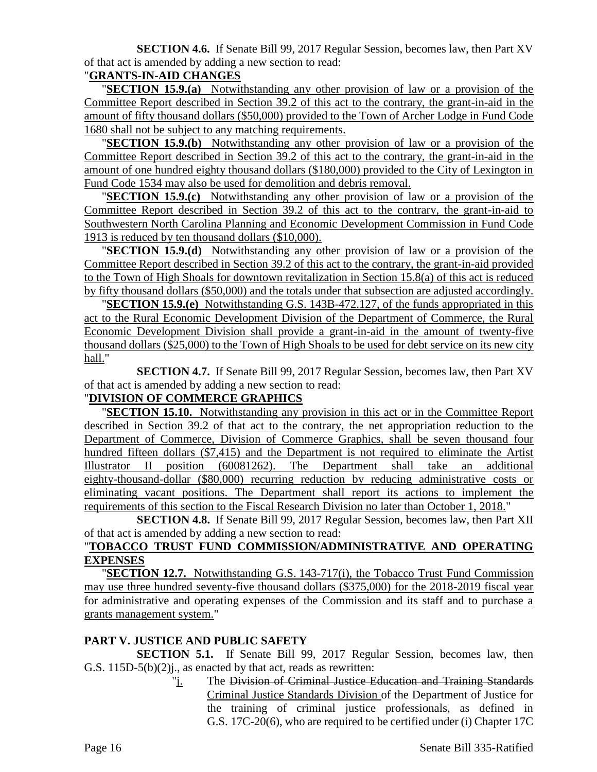**SECTION 4.6.** If Senate Bill 99, 2017 Regular Session, becomes law, then Part XV of that act is amended by adding a new section to read:

## "**GRANTS-IN-AID CHANGES**

"**SECTION 15.9.(a)** Notwithstanding any other provision of law or a provision of the Committee Report described in Section 39.2 of this act to the contrary, the grant-in-aid in the amount of fifty thousand dollars (\$50,000) provided to the Town of Archer Lodge in Fund Code 1680 shall not be subject to any matching requirements.

"**SECTION 15.9.(b)** Notwithstanding any other provision of law or a provision of the Committee Report described in Section 39.2 of this act to the contrary, the grant-in-aid in the amount of one hundred eighty thousand dollars (\$180,000) provided to the City of Lexington in Fund Code 1534 may also be used for demolition and debris removal.

"**SECTION 15.9.(c)** Notwithstanding any other provision of law or a provision of the Committee Report described in Section 39.2 of this act to the contrary, the grant-in-aid to Southwestern North Carolina Planning and Economic Development Commission in Fund Code 1913 is reduced by ten thousand dollars (\$10,000).

"**SECTION 15.9.(d)** Notwithstanding any other provision of law or a provision of the Committee Report described in Section 39.2 of this act to the contrary, the grant-in-aid provided to the Town of High Shoals for downtown revitalization in Section 15.8(a) of this act is reduced by fifty thousand dollars (\$50,000) and the totals under that subsection are adjusted accordingly.

"**SECTION 15.9.(e)** Notwithstanding G.S. 143B-472.127, of the funds appropriated in this act to the Rural Economic Development Division of the Department of Commerce, the Rural Economic Development Division shall provide a grant-in-aid in the amount of twenty-five thousand dollars (\$25,000) to the Town of High Shoals to be used for debt service on its new city hall."

**SECTION 4.7.** If Senate Bill 99, 2017 Regular Session, becomes law, then Part XV of that act is amended by adding a new section to read:

# "**DIVISION OF COMMERCE GRAPHICS**

"**SECTION 15.10.** Notwithstanding any provision in this act or in the Committee Report described in Section 39.2 of that act to the contrary, the net appropriation reduction to the Department of Commerce, Division of Commerce Graphics, shall be seven thousand four hundred fifteen dollars (\$7,415) and the Department is not required to eliminate the Artist Illustrator II position (60081262). The Department shall take an additional eighty-thousand-dollar (\$80,000) recurring reduction by reducing administrative costs or eliminating vacant positions. The Department shall report its actions to implement the requirements of this section to the Fiscal Research Division no later than October 1, 2018."

**SECTION 4.8.** If Senate Bill 99, 2017 Regular Session, becomes law, then Part XII of that act is amended by adding a new section to read:

## "**TOBACCO TRUST FUND COMMISSION/ADMINISTRATIVE AND OPERATING EXPENSES**

"**SECTION 12.7.** Notwithstanding G.S. 143-717(i), the Tobacco Trust Fund Commission may use three hundred seventy-five thousand dollars (\$375,000) for the 2018-2019 fiscal year for administrative and operating expenses of the Commission and its staff and to purchase a grants management system."

### **PART V. JUSTICE AND PUBLIC SAFETY**

**SECTION 5.1.** If Senate Bill 99, 2017 Regular Session, becomes law, then G.S. 115D-5(b)(2)j., as enacted by that act, reads as rewritten:

> "j. The Division of Criminal Justice Education and Training Standards Criminal Justice Standards Division of the Department of Justice for the training of criminal justice professionals, as defined in G.S. 17C-20(6), who are required to be certified under (i) Chapter 17C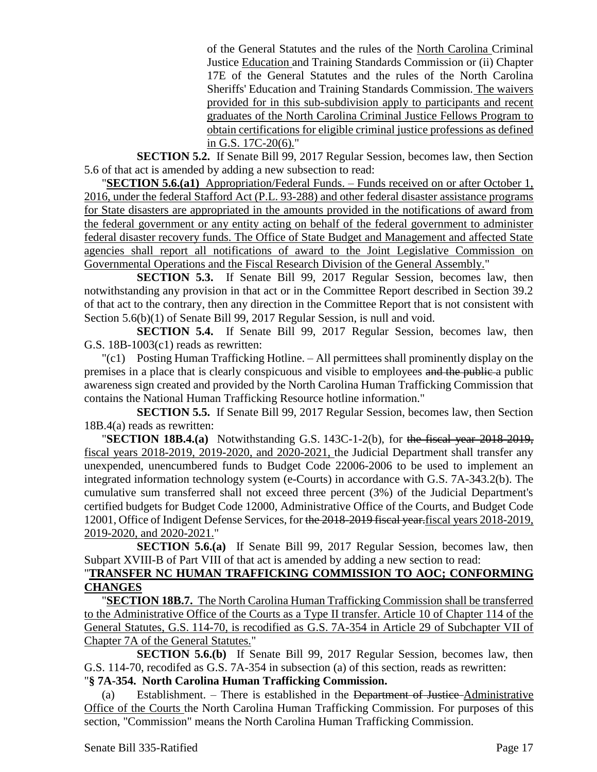of the General Statutes and the rules of the North Carolina Criminal Justice Education and Training Standards Commission or (ii) Chapter 17E of the General Statutes and the rules of the North Carolina Sheriffs' Education and Training Standards Commission. The waivers provided for in this sub-subdivision apply to participants and recent graduates of the North Carolina Criminal Justice Fellows Program to obtain certifications for eligible criminal justice professions as defined in G.S. 17C-20(6)."

**SECTION 5.2.** If Senate Bill 99, 2017 Regular Session, becomes law, then Section 5.6 of that act is amended by adding a new subsection to read:

"**SECTION 5.6.(a1)** Appropriation/Federal Funds. – Funds received on or after October 1, 2016, under the federal Stafford Act (P.L. 93-288) and other federal disaster assistance programs for State disasters are appropriated in the amounts provided in the notifications of award from the federal government or any entity acting on behalf of the federal government to administer federal disaster recovery funds. The Office of State Budget and Management and affected State agencies shall report all notifications of award to the Joint Legislative Commission on Governmental Operations and the Fiscal Research Division of the General Assembly."

**SECTION 5.3.** If Senate Bill 99, 2017 Regular Session, becomes law, then notwithstanding any provision in that act or in the Committee Report described in Section 39.2 of that act to the contrary, then any direction in the Committee Report that is not consistent with Section 5.6(b)(1) of Senate Bill 99, 2017 Regular Session, is null and void.

**SECTION 5.4.** If Senate Bill 99, 2017 Regular Session, becomes law, then G.S. 18B-1003(c1) reads as rewritten:

"(c1) Posting Human Trafficking Hotline. – All permittees shall prominently display on the premises in a place that is clearly conspicuous and visible to employees and the public a public awareness sign created and provided by the North Carolina Human Trafficking Commission that contains the National Human Trafficking Resource hotline information."

**SECTION 5.5.** If Senate Bill 99, 2017 Regular Session, becomes law, then Section 18B.4(a) reads as rewritten:

"**SECTION 18B.4.(a)** Notwithstanding G.S. 143C-1-2(b), for the fiscal year 2018-2019, fiscal years 2018-2019, 2019-2020, and 2020-2021, the Judicial Department shall transfer any unexpended, unencumbered funds to Budget Code 22006-2006 to be used to implement an integrated information technology system (e-Courts) in accordance with G.S. 7A-343.2(b). The cumulative sum transferred shall not exceed three percent (3%) of the Judicial Department's certified budgets for Budget Code 12000, Administrative Office of the Courts, and Budget Code 12001, Office of Indigent Defense Services, for the 2018-2019 fiscal year.fiscal years 2018-2019, 2019-2020, and 2020-2021."

**SECTION 5.6.(a)** If Senate Bill 99, 2017 Regular Session, becomes law, then Subpart XVIII-B of Part VIII of that act is amended by adding a new section to read:

### "**TRANSFER NC HUMAN TRAFFICKING COMMISSION TO AOC; CONFORMING CHANGES**

"**SECTION 18B.7.** The North Carolina Human Trafficking Commission shall be transferred to the Administrative Office of the Courts as a Type II transfer. Article 10 of Chapter 114 of the General Statutes, G.S. 114-70, is recodified as G.S. 7A-354 in Article 29 of Subchapter VII of Chapter 7A of the General Statutes."

**SECTION 5.6.(b)** If Senate Bill 99, 2017 Regular Session, becomes law, then G.S. 114-70, recodifed as G.S. 7A-354 in subsection (a) of this section, reads as rewritten:

"**§ 7A-354. North Carolina Human Trafficking Commission.**

(a) Establishment.  $-$  There is established in the <del>Department of Justice</del>-Administrative Office of the Courts the North Carolina Human Trafficking Commission. For purposes of this section, "Commission" means the North Carolina Human Trafficking Commission.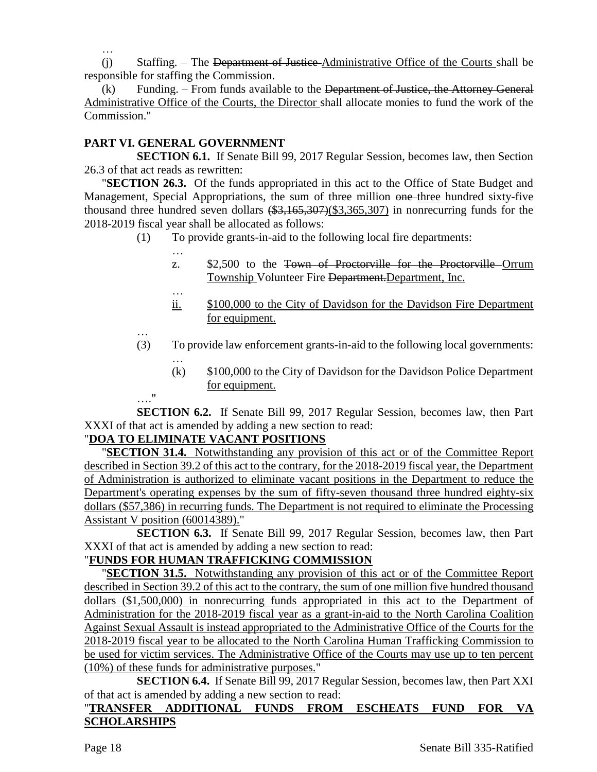…

(j) Staffing. – The Department of Justice Administrative Office of the Courts shall be responsible for staffing the Commission.

 $(k)$  Funding. – From funds available to the Department of Justice, the Attorney General Administrative Office of the Courts, the Director shall allocate monies to fund the work of the Commission."

## **PART VI. GENERAL GOVERNMENT**

…

**SECTION 6.1.** If Senate Bill 99, 2017 Regular Session, becomes law, then Section 26.3 of that act reads as rewritten:

"**SECTION 26.3.** Of the funds appropriated in this act to the Office of State Budget and Management, Special Appropriations, the sum of three million one three hundred sixty-five thousand three hundred seven dollars  $(\frac{23}{165}, \frac{307}{65}, \frac{307}{65}, \frac{307}{65})$  in nonrecurring funds for the 2018-2019 fiscal year shall be allocated as follows:

- (1) To provide grants-in-aid to the following local fire departments:
	- z. \$2,500 to the Town of Proctorville for the Proctorville Orrum Township Volunteer Fire Department. Department, Inc.
	- … ii.  $$100,000$  to the City of Davidson for the Davidson Fire Department for equipment.
- … (3) To provide law enforcement grants-in-aid to the following local governments: …
	- (k) \$100,000 to the City of Davidson for the Davidson Police Department for equipment.

…." **SECTION 6.2.** If Senate Bill 99, 2017 Regular Session, becomes law, then Part XXXI of that act is amended by adding a new section to read:

### "**DOA TO ELIMINATE VACANT POSITIONS**

"**SECTION 31.4.** Notwithstanding any provision of this act or of the Committee Report described in Section 39.2 of this act to the contrary, for the 2018-2019 fiscal year, the Department of Administration is authorized to eliminate vacant positions in the Department to reduce the Department's operating expenses by the sum of fifty-seven thousand three hundred eighty-six dollars (\$57,386) in recurring funds. The Department is not required to eliminate the Processing Assistant V position (60014389)."

**SECTION 6.3.** If Senate Bill 99, 2017 Regular Session, becomes law, then Part XXXI of that act is amended by adding a new section to read:

## "**FUNDS FOR HUMAN TRAFFICKING COMMISSION**

"**SECTION 31.5.** Notwithstanding any provision of this act or of the Committee Report described in Section 39.2 of this act to the contrary, the sum of one million five hundred thousand dollars (\$1,500,000) in nonrecurring funds appropriated in this act to the Department of Administration for the 2018-2019 fiscal year as a grant-in-aid to the North Carolina Coalition Against Sexual Assault is instead appropriated to the Administrative Office of the Courts for the 2018-2019 fiscal year to be allocated to the North Carolina Human Trafficking Commission to be used for victim services. The Administrative Office of the Courts may use up to ten percent (10%) of these funds for administrative purposes."

**SECTION 6.4.** If Senate Bill 99, 2017 Regular Session, becomes law, then Part XXI of that act is amended by adding a new section to read:

### "**TRANSFER ADDITIONAL FUNDS FROM ESCHEATS FUND FOR VA SCHOLARSHIPS**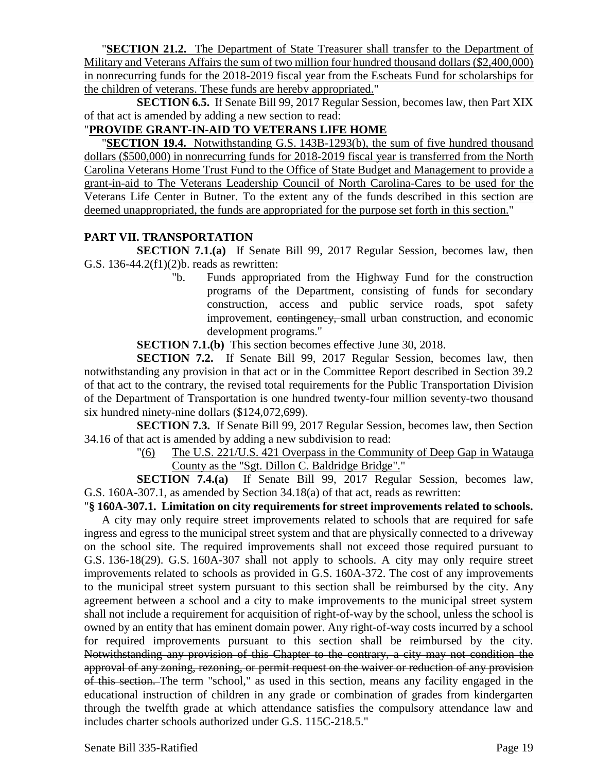"**SECTION 21.2.** The Department of State Treasurer shall transfer to the Department of Military and Veterans Affairs the sum of two million four hundred thousand dollars (\$2,400,000) in nonrecurring funds for the 2018-2019 fiscal year from the Escheats Fund for scholarships for the children of veterans. These funds are hereby appropriated."

**SECTION 6.5.** If Senate Bill 99, 2017 Regular Session, becomes law, then Part XIX of that act is amended by adding a new section to read:

## "**PROVIDE GRANT-IN-AID TO VETERANS LIFE HOME**

"**SECTION 19.4.** Notwithstanding G.S. 143B-1293(b), the sum of five hundred thousand dollars (\$500,000) in nonrecurring funds for 2018-2019 fiscal year is transferred from the North Carolina Veterans Home Trust Fund to the Office of State Budget and Management to provide a grant-in-aid to The Veterans Leadership Council of North Carolina-Cares to be used for the Veterans Life Center in Butner. To the extent any of the funds described in this section are deemed unappropriated, the funds are appropriated for the purpose set forth in this section."

### **PART VII. TRANSPORTATION**

**SECTION 7.1.(a)** If Senate Bill 99, 2017 Regular Session, becomes law, then G.S. 136-44.2(f1)(2)b. reads as rewritten:

"b. Funds appropriated from the Highway Fund for the construction programs of the Department, consisting of funds for secondary construction, access and public service roads, spot safety improvement, contingency, small urban construction, and economic development programs."

**SECTION 7.1.(b)** This section becomes effective June 30, 2018.

**SECTION 7.2.** If Senate Bill 99, 2017 Regular Session, becomes law, then notwithstanding any provision in that act or in the Committee Report described in Section 39.2 of that act to the contrary, the revised total requirements for the Public Transportation Division of the Department of Transportation is one hundred twenty-four million seventy-two thousand six hundred ninety-nine dollars (\$124,072,699).

**SECTION 7.3.** If Senate Bill 99, 2017 Regular Session, becomes law, then Section 34.16 of that act is amended by adding a new subdivision to read:

> "(6) The U.S. 221/U.S. 421 Overpass in the Community of Deep Gap in Watauga County as the "Sgt. Dillon C. Baldridge Bridge"."

**SECTION 7.4.(a)** If Senate Bill 99, 2017 Regular Session, becomes law, G.S. 160A-307.1, as amended by Section 34.18(a) of that act, reads as rewritten:

"**§ 160A-307.1. Limitation on city requirements for street improvements related to schools.**

A city may only require street improvements related to schools that are required for safe ingress and egress to the municipal street system and that are physically connected to a driveway on the school site. The required improvements shall not exceed those required pursuant to G.S. 136-18(29). G.S. 160A-307 shall not apply to schools. A city may only require street improvements related to schools as provided in G.S. 160A-372. The cost of any improvements to the municipal street system pursuant to this section shall be reimbursed by the city. Any agreement between a school and a city to make improvements to the municipal street system shall not include a requirement for acquisition of right-of-way by the school, unless the school is owned by an entity that has eminent domain power. Any right-of-way costs incurred by a school for required improvements pursuant to this section shall be reimbursed by the city. Notwithstanding any provision of this Chapter to the contrary, a city may not condition the approval of any zoning, rezoning, or permit request on the waiver or reduction of any provision of this section. The term "school," as used in this section, means any facility engaged in the educational instruction of children in any grade or combination of grades from kindergarten through the twelfth grade at which attendance satisfies the compulsory attendance law and includes charter schools authorized under G.S. 115C-218.5."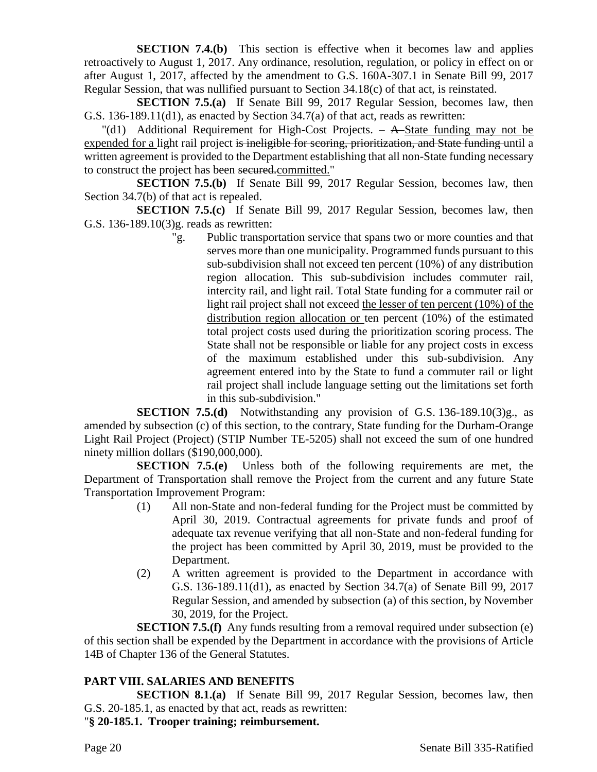**SECTION 7.4.(b)** This section is effective when it becomes law and applies retroactively to August 1, 2017. Any ordinance, resolution, regulation, or policy in effect on or after August 1, 2017, affected by the amendment to G.S. 160A-307.1 in Senate Bill 99, 2017 Regular Session, that was nullified pursuant to Section 34.18(c) of that act, is reinstated.

**SECTION 7.5.(a)** If Senate Bill 99, 2017 Regular Session, becomes law, then G.S. 136-189.11(d1), as enacted by Section 34.7(a) of that act, reads as rewritten:

 $\text{"(d1)}$  Additional Requirement for High-Cost Projects.  $-$  A-State funding may not be expended for a light rail project is ineligible for scoring, prioritization, and State funding until a written agreement is provided to the Department establishing that all non-State funding necessary to construct the project has been secured.committed."

**SECTION 7.5.(b)** If Senate Bill 99, 2017 Regular Session, becomes law, then Section 34.7(b) of that act is repealed.

**SECTION 7.5.(c)** If Senate Bill 99, 2017 Regular Session, becomes law, then G.S. 136-189.10(3)g. reads as rewritten:

"g. Public transportation service that spans two or more counties and that serves more than one municipality. Programmed funds pursuant to this sub-subdivision shall not exceed ten percent (10%) of any distribution region allocation. This sub-subdivision includes commuter rail, intercity rail, and light rail. Total State funding for a commuter rail or light rail project shall not exceed the lesser of ten percent (10%) of the distribution region allocation or ten percent (10%) of the estimated total project costs used during the prioritization scoring process. The State shall not be responsible or liable for any project costs in excess of the maximum established under this sub-subdivision. Any agreement entered into by the State to fund a commuter rail or light rail project shall include language setting out the limitations set forth in this sub-subdivision."

**SECTION 7.5.(d)** Notwithstanding any provision of G.S. 136-189.10(3)g., as amended by subsection (c) of this section, to the contrary, State funding for the Durham-Orange Light Rail Project (Project) (STIP Number TE-5205) shall not exceed the sum of one hundred ninety million dollars (\$190,000,000).

**SECTION 7.5.(e)** Unless both of the following requirements are met, the Department of Transportation shall remove the Project from the current and any future State Transportation Improvement Program:

- (1) All non-State and non-federal funding for the Project must be committed by April 30, 2019. Contractual agreements for private funds and proof of adequate tax revenue verifying that all non-State and non-federal funding for the project has been committed by April 30, 2019, must be provided to the Department.
- (2) A written agreement is provided to the Department in accordance with G.S. 136-189.11(d1), as enacted by Section 34.7(a) of Senate Bill 99, 2017 Regular Session, and amended by subsection (a) of this section, by November 30, 2019, for the Project.

**SECTION 7.5.(f)** Any funds resulting from a removal required under subsection (e) of this section shall be expended by the Department in accordance with the provisions of Article 14B of Chapter 136 of the General Statutes.

### **PART VIII. SALARIES AND BENEFITS**

**SECTION 8.1.(a)** If Senate Bill 99, 2017 Regular Session, becomes law, then G.S. 20-185.1, as enacted by that act, reads as rewritten:

"**§ 20-185.1. Trooper training; reimbursement.**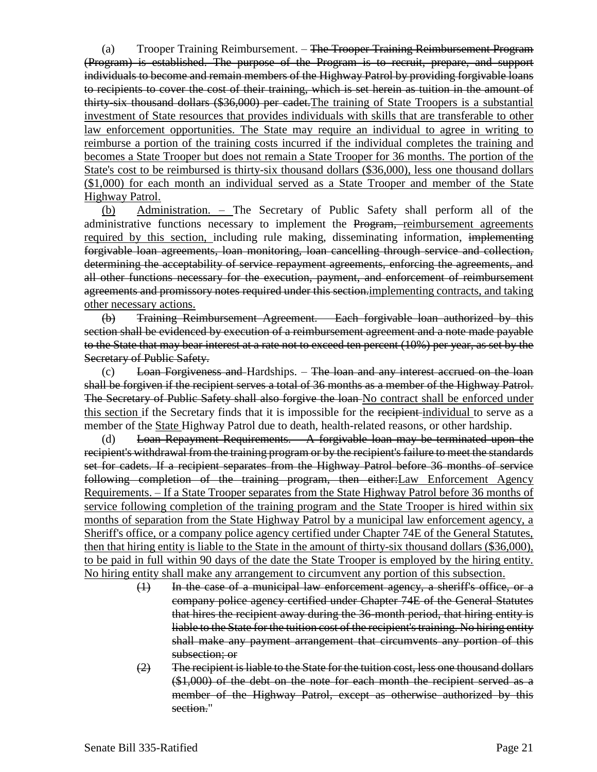(a) Trooper Training Reimbursement. – <del>The Trooper Training Reimbursement Program</del> (Program) is established. The purpose of the Program is to recruit, prepare, and support individuals to become and remain members of the Highway Patrol by providing forgivable loans to recipients to cover the cost of their training, which is set herein as tuition in the amount of thirty-six thousand dollars (\$36,000) per cadet.The training of State Troopers is a substantial investment of State resources that provides individuals with skills that are transferable to other law enforcement opportunities. The State may require an individual to agree in writing to reimburse a portion of the training costs incurred if the individual completes the training and becomes a State Trooper but does not remain a State Trooper for 36 months. The portion of the State's cost to be reimbursed is thirty-six thousand dollars (\$36,000), less one thousand dollars (\$1,000) for each month an individual served as a State Trooper and member of the State Highway Patrol.

(b) Administration. – The Secretary of Public Safety shall perform all of the administrative functions necessary to implement the Program, reimbursement agreements required by this section, including rule making, disseminating information, implementing forgivable loan agreements, loan monitoring, loan cancelling through service and collection, determining the acceptability of service repayment agreements, enforcing the agreements, and all other functions necessary for the execution, payment, and enforcement of reimbursement agreements and promissory notes required under this section.implementing contracts, and taking other necessary actions.

(b) Training Reimbursement Agreement. – Each forgivable loan authorized by this section shall be evidenced by execution of a reimbursement agreement and a note made payable to the State that may bear interest at a rate not to exceed ten percent (10%) per year, as set by the Secretary of Public Safety.

 $(c)$  Loan Forgiveness and Hardships.  $-$  The loan and any interest accrued on the loan shall be forgiven if the recipient serves a total of 36 months as a member of the Highway Patrol. The Secretary of Public Safety shall also forgive the loan No contract shall be enforced under this section if the Secretary finds that it is impossible for the recipient-individual to serve as a member of the State Highway Patrol due to death, health-related reasons, or other hardship.

(d) Loan Repayment Requirements. – A forgivable loan may be terminated upon the recipient's withdrawal from the training program or by the recipient's failure to meet the standards set for cadets. If a recipient separates from the Highway Patrol before 36 months of service following completion of the training program, then either:Law Enforcement Agency Requirements. – If a State Trooper separates from the State Highway Patrol before 36 months of service following completion of the training program and the State Trooper is hired within six months of separation from the State Highway Patrol by a municipal law enforcement agency, a Sheriff's office, or a company police agency certified under Chapter 74E of the General Statutes, then that hiring entity is liable to the State in the amount of thirty-six thousand dollars (\$36,000), to be paid in full within 90 days of the date the State Trooper is employed by the hiring entity. No hiring entity shall make any arrangement to circumvent any portion of this subsection.

- (1) In the case of a municipal law enforcement agency, a sheriff's office, or a company police agency certified under Chapter 74E of the General Statutes that hires the recipient away during the 36-month period, that hiring entity is liable to the State for the tuition cost of the recipient's training. No hiring entity shall make any payment arrangement that circumvents any portion of this subsection; or
- (2) The recipient is liable to the State for the tuition cost, less one thousand dollars (\$1,000) of the debt on the note for each month the recipient served as a member of the Highway Patrol, except as otherwise authorized by this section."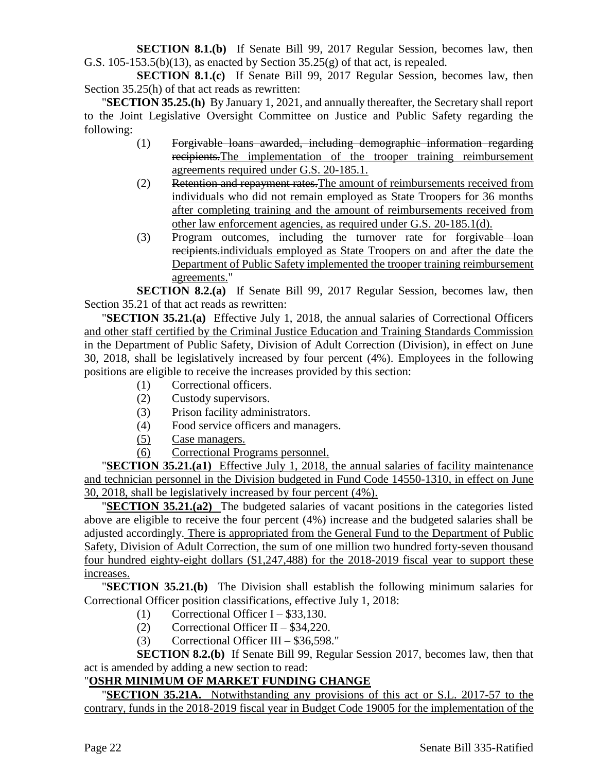**SECTION 8.1.(b)** If Senate Bill 99, 2017 Regular Session, becomes law, then G.S. 105-153.5(b)(13), as enacted by Section  $35.25(g)$  of that act, is repealed.

**SECTION 8.1.(c)** If Senate Bill 99, 2017 Regular Session, becomes law, then Section 35.25(h) of that act reads as rewritten:

"**SECTION 35.25.(h)** By January 1, 2021, and annually thereafter, the Secretary shall report to the Joint Legislative Oversight Committee on Justice and Public Safety regarding the following:

- (1) Forgivable loans awarded, including demographic information regarding recipients.The implementation of the trooper training reimbursement agreements required under G.S. 20-185.1.
- (2) Retention and repayment rates.The amount of reimbursements received from individuals who did not remain employed as State Troopers for 36 months after completing training and the amount of reimbursements received from other law enforcement agencies, as required under G.S. 20-185.1(d).
- (3) Program outcomes, including the turnover rate for forgivable loan recipients.individuals employed as State Troopers on and after the date the Department of Public Safety implemented the trooper training reimbursement agreements."

**SECTION 8.2.(a)** If Senate Bill 99, 2017 Regular Session, becomes law, then Section 35.21 of that act reads as rewritten:

"**SECTION 35.21.(a)** Effective July 1, 2018, the annual salaries of Correctional Officers and other staff certified by the Criminal Justice Education and Training Standards Commission in the Department of Public Safety, Division of Adult Correction (Division), in effect on June 30, 2018, shall be legislatively increased by four percent (4%). Employees in the following positions are eligible to receive the increases provided by this section:

- (1) Correctional officers.
- (2) Custody supervisors.
- (3) Prison facility administrators.
- (4) Food service officers and managers.
- (5) Case managers.
- (6) Correctional Programs personnel.

"**SECTION 35.21.(a1)** Effective July 1, 2018, the annual salaries of facility maintenance and technician personnel in the Division budgeted in Fund Code 14550-1310, in effect on June 30, 2018, shall be legislatively increased by four percent (4%).

"**SECTION 35.21.(a2)** The budgeted salaries of vacant positions in the categories listed above are eligible to receive the four percent (4%) increase and the budgeted salaries shall be adjusted accordingly. There is appropriated from the General Fund to the Department of Public Safety, Division of Adult Correction, the sum of one million two hundred forty-seven thousand four hundred eighty-eight dollars (\$1,247,488) for the 2018-2019 fiscal year to support these increases.

"**SECTION 35.21.(b)** The Division shall establish the following minimum salaries for Correctional Officer position classifications, effective July 1, 2018:

- (1) Correctional Officer I  $$33,130$ .
- (2) Correctional Officer II \$34,220.
- (3) Correctional Officer III \$36,598."

**SECTION 8.2.(b)** If Senate Bill 99, Regular Session 2017, becomes law, then that act is amended by adding a new section to read:

# "**OSHR MINIMUM OF MARKET FUNDING CHANGE**

"**SECTION 35.21A.** Notwithstanding any provisions of this act or S.L. 2017-57 to the contrary, funds in the 2018-2019 fiscal year in Budget Code 19005 for the implementation of the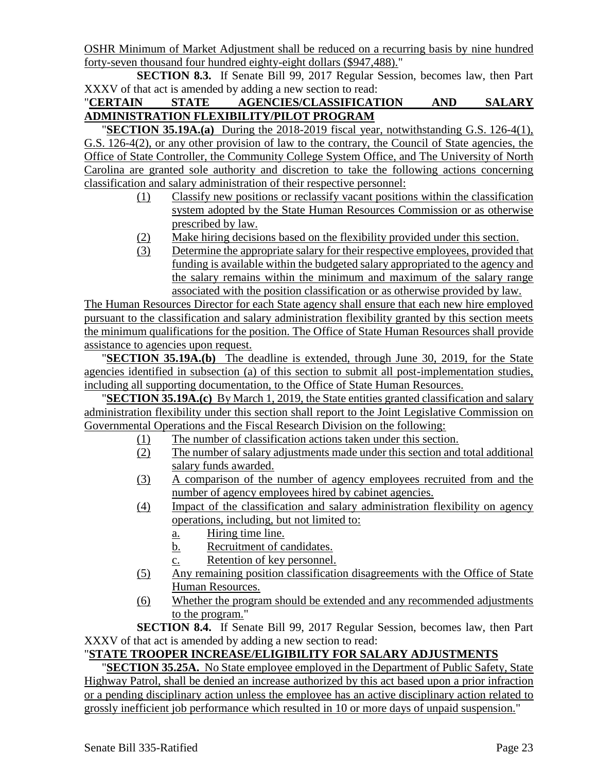OSHR Minimum of Market Adjustment shall be reduced on a recurring basis by nine hundred forty-seven thousand four hundred eighty-eight dollars (\$947,488)."

**SECTION 8.3.** If Senate Bill 99, 2017 Regular Session, becomes law, then Part XXXV of that act is amended by adding a new section to read:

## "**CERTAIN STATE AGENCIES/CLASSIFICATION AND SALARY ADMINISTRATION FLEXIBILITY/PILOT PROGRAM**

**SECTION 35.19A.(a)** During the 2018-2019 fiscal year, notwithstanding G.S. 126-4(1), G.S. 126-4(2), or any other provision of law to the contrary, the Council of State agencies, the Office of State Controller, the Community College System Office, and The University of North Carolina are granted sole authority and discretion to take the following actions concerning classification and salary administration of their respective personnel:

- (1) Classify new positions or reclassify vacant positions within the classification system adopted by the State Human Resources Commission or as otherwise prescribed by law.
- (2) Make hiring decisions based on the flexibility provided under this section.
- (3) Determine the appropriate salary for their respective employees, provided that funding is available within the budgeted salary appropriated to the agency and the salary remains within the minimum and maximum of the salary range associated with the position classification or as otherwise provided by law.

The Human Resources Director for each State agency shall ensure that each new hire employed pursuant to the classification and salary administration flexibility granted by this section meets the minimum qualifications for the position. The Office of State Human Resources shall provide assistance to agencies upon request.

"**SECTION 35.19A.(b)** The deadline is extended, through June 30, 2019, for the State agencies identified in subsection (a) of this section to submit all post-implementation studies, including all supporting documentation, to the Office of State Human Resources.

"**SECTION 35.19A.(c)** By March 1, 2019, the State entities granted classification and salary administration flexibility under this section shall report to the Joint Legislative Commission on Governmental Operations and the Fiscal Research Division on the following:

- (1) The number of classification actions taken under this section.
- (2) The number of salary adjustments made under this section and total additional salary funds awarded.
- (3) A comparison of the number of agency employees recruited from and the number of agency employees hired by cabinet agencies.
- (4) Impact of the classification and salary administration flexibility on agency operations, including, but not limited to:
	- a. Hiring time line.
	- b. Recruitment of candidates.
	- c. Retention of key personnel.
- (5) Any remaining position classification disagreements with the Office of State Human Resources.
- (6) Whether the program should be extended and any recommended adjustments to the program."

**SECTION 8.4.** If Senate Bill 99, 2017 Regular Session, becomes law, then Part XXXV of that act is amended by adding a new section to read:

# "**STATE TROOPER INCREASE/ELIGIBILITY FOR SALARY ADJUSTMENTS**

"**SECTION 35.25A.** No State employee employed in the Department of Public Safety, State Highway Patrol, shall be denied an increase authorized by this act based upon a prior infraction or a pending disciplinary action unless the employee has an active disciplinary action related to grossly inefficient job performance which resulted in 10 or more days of unpaid suspension."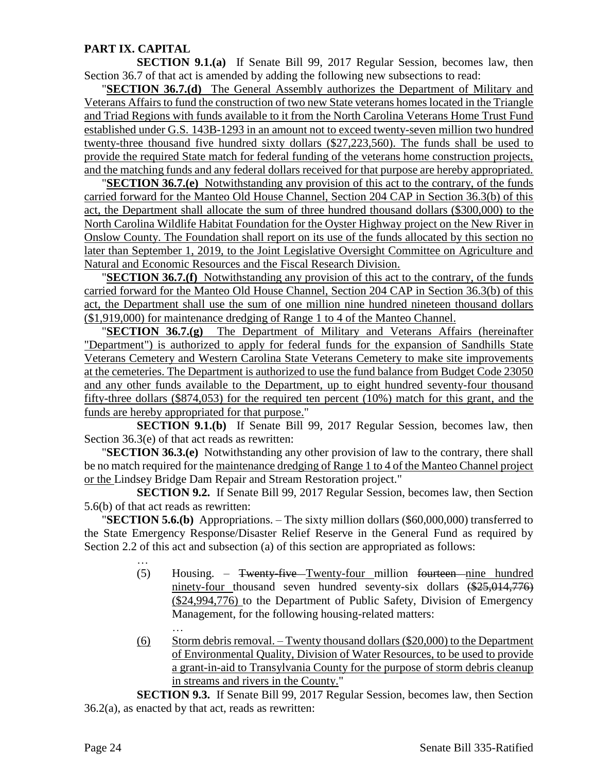## **PART IX. CAPITAL**

**SECTION 9.1.(a)** If Senate Bill 99, 2017 Regular Session, becomes law, then Section 36.7 of that act is amended by adding the following new subsections to read:

"**SECTION 36.7.(d)** The General Assembly authorizes the Department of Military and Veterans Affairs to fund the construction of two new State veterans homes located in the Triangle and Triad Regions with funds available to it from the North Carolina Veterans Home Trust Fund established under G.S. 143B-1293 in an amount not to exceed twenty-seven million two hundred twenty-three thousand five hundred sixty dollars (\$27,223,560). The funds shall be used to provide the required State match for federal funding of the veterans home construction projects, and the matching funds and any federal dollars received for that purpose are hereby appropriated.

"**SECTION 36.7.(e)** Notwithstanding any provision of this act to the contrary, of the funds carried forward for the Manteo Old House Channel, Section 204 CAP in Section 36.3(b) of this act, the Department shall allocate the sum of three hundred thousand dollars (\$300,000) to the North Carolina Wildlife Habitat Foundation for the Oyster Highway project on the New River in Onslow County. The Foundation shall report on its use of the funds allocated by this section no later than September 1, 2019, to the Joint Legislative Oversight Committee on Agriculture and Natural and Economic Resources and the Fiscal Research Division.

"**SECTION 36.7.(f)** Notwithstanding any provision of this act to the contrary, of the funds carried forward for the Manteo Old House Channel, Section 204 CAP in Section 36.3(b) of this act, the Department shall use the sum of one million nine hundred nineteen thousand dollars (\$1,919,000) for maintenance dredging of Range 1 to 4 of the Manteo Channel.

"**SECTION 36.7.(g)** The Department of Military and Veterans Affairs (hereinafter "Department") is authorized to apply for federal funds for the expansion of Sandhills State Veterans Cemetery and Western Carolina State Veterans Cemetery to make site improvements at the cemeteries. The Department is authorized to use the fund balance from Budget Code 23050 and any other funds available to the Department, up to eight hundred seventy-four thousand fifty-three dollars (\$874,053) for the required ten percent  $(10\%)$  match for this grant, and the funds are hereby appropriated for that purpose."

**SECTION 9.1.(b)** If Senate Bill 99, 2017 Regular Session, becomes law, then Section 36.3(e) of that act reads as rewritten:

"**SECTION 36.3.(e)** Notwithstanding any other provision of law to the contrary, there shall be no match required for the maintenance dredging of Range 1 to 4 of the Manteo Channel project or the Lindsey Bridge Dam Repair and Stream Restoration project."

**SECTION 9.2.** If Senate Bill 99, 2017 Regular Session, becomes law, then Section 5.6(b) of that act reads as rewritten:

"**SECTION 5.6.(b)** Appropriations. – The sixty million dollars (\$60,000,000) transferred to the State Emergency Response/Disaster Relief Reserve in the General Fund as required by Section 2.2 of this act and subsection (a) of this section are appropriated as follows:

- (5) Housing. Twenty-five Twenty-four million fourteen nine hundred ninety-four thousand seven hundred seventy-six dollars  $(*25,014,776)$ (\$24,994,776) to the Department of Public Safety, Division of Emergency Management, for the following housing-related matters:
- … (6) Storm debris removal. – Twenty thousand dollars (\$20,000) to the Department of Environmental Quality, Division of Water Resources, to be used to provide a grant-in-aid to Transylvania County for the purpose of storm debris cleanup in streams and rivers in the County."

**SECTION 9.3.** If Senate Bill 99, 2017 Regular Session, becomes law, then Section 36.2(a), as enacted by that act, reads as rewritten:

…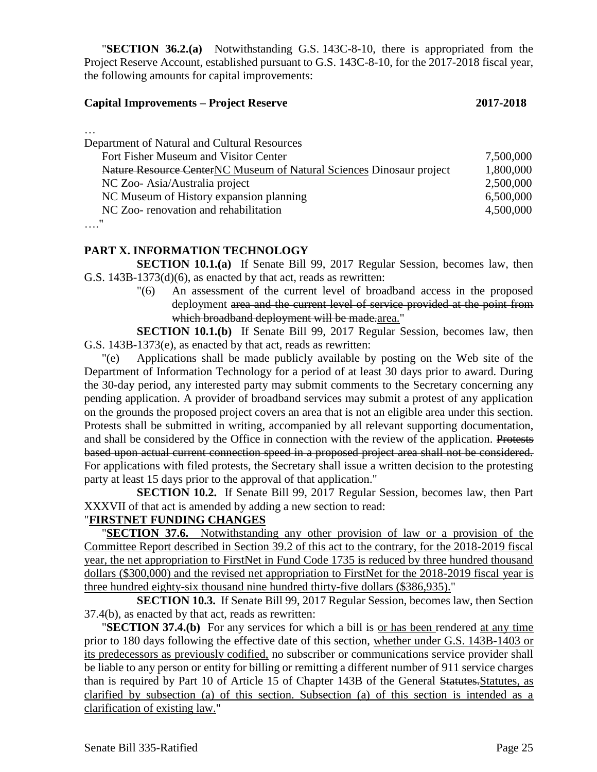"**SECTION 36.2.(a)** Notwithstanding G.S. 143C-8-10, there is appropriated from the Project Reserve Account, established pursuant to G.S. 143C-8-10, for the 2017-2018 fiscal year, the following amounts for capital improvements:

#### **Capital Improvements – Project Reserve 2017-2018**

| ۰. | × | I<br>× |  |
|----|---|--------|--|

| Department of Natural and Cultural Resources                         |           |
|----------------------------------------------------------------------|-----------|
| Fort Fisher Museum and Visitor Center                                | 7,500,000 |
| Nature Resource CenterNC Museum of Natural Sciences Dinosaur project | 1,800,000 |
| NC Zoo-Asia/Australia project                                        | 2,500,000 |
| NC Museum of History expansion planning                              | 6,500,000 |
| NC Zoo- renovation and rehabilitation                                | 4,500,000 |
| "                                                                    |           |

…."

#### **PART X. INFORMATION TECHNOLOGY**

**SECTION 10.1.(a)** If Senate Bill 99, 2017 Regular Session, becomes law, then G.S. 143B-1373(d)(6), as enacted by that act, reads as rewritten:

> "(6) An assessment of the current level of broadband access in the proposed deployment area and the current level of service provided at the point from which broadband deployment will be made.area."

**SECTION 10.1.(b)** If Senate Bill 99, 2017 Regular Session, becomes law, then G.S. 143B-1373(e), as enacted by that act, reads as rewritten:

"(e) Applications shall be made publicly available by posting on the Web site of the Department of Information Technology for a period of at least 30 days prior to award. During the 30-day period, any interested party may submit comments to the Secretary concerning any pending application. A provider of broadband services may submit a protest of any application on the grounds the proposed project covers an area that is not an eligible area under this section. Protests shall be submitted in writing, accompanied by all relevant supporting documentation, and shall be considered by the Office in connection with the review of the application. Protests based upon actual current connection speed in a proposed project area shall not be considered. For applications with filed protests, the Secretary shall issue a written decision to the protesting party at least 15 days prior to the approval of that application."

**SECTION 10.2.** If Senate Bill 99, 2017 Regular Session, becomes law, then Part XXXVII of that act is amended by adding a new section to read:

### "**FIRSTNET FUNDING CHANGES**

**SECTION 37.6.** Notwithstanding any other provision of law or a provision of the Committee Report described in Section 39.2 of this act to the contrary, for the 2018-2019 fiscal year, the net appropriation to FirstNet in Fund Code 1735 is reduced by three hundred thousand dollars (\$300,000) and the revised net appropriation to FirstNet for the 2018-2019 fiscal year is three hundred eighty-six thousand nine hundred thirty-five dollars (\$386,935)."

**SECTION 10.3.** If Senate Bill 99, 2017 Regular Session, becomes law, then Section 37.4(b), as enacted by that act, reads as rewritten:

"**SECTION 37.4.(b)** For any services for which a bill is or has been rendered at any time prior to 180 days following the effective date of this section, whether under G.S. 143B-1403 or its predecessors as previously codified, no subscriber or communications service provider shall be liable to any person or entity for billing or remitting a different number of 911 service charges than is required by Part 10 of Article 15 of Chapter 143B of the General Statutes.Statutes, as clarified by subsection (a) of this section. Subsection (a) of this section is intended as a clarification of existing law."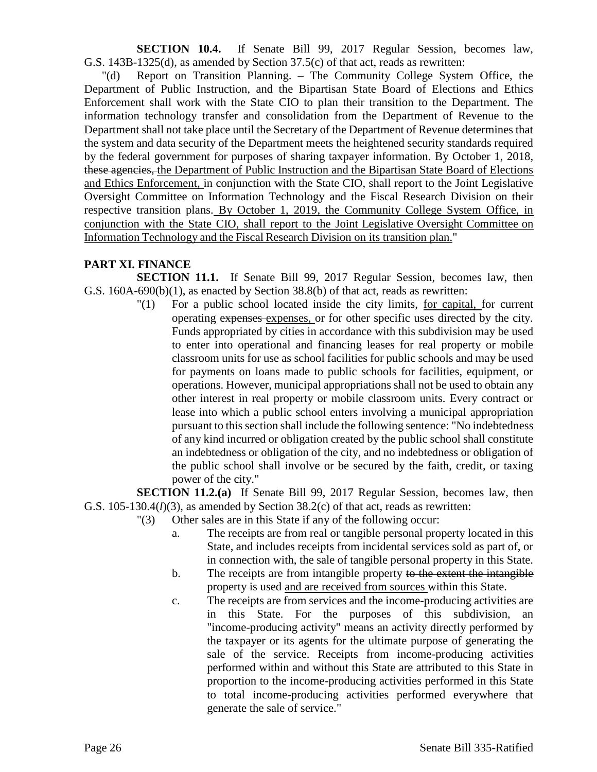**SECTION 10.4.** If Senate Bill 99, 2017 Regular Session, becomes law, G.S. 143B-1325(d), as amended by Section 37.5(c) of that act, reads as rewritten:

"(d) Report on Transition Planning. – The Community College System Office, the Department of Public Instruction, and the Bipartisan State Board of Elections and Ethics Enforcement shall work with the State CIO to plan their transition to the Department. The information technology transfer and consolidation from the Department of Revenue to the Department shall not take place until the Secretary of the Department of Revenue determines that the system and data security of the Department meets the heightened security standards required by the federal government for purposes of sharing taxpayer information. By October 1, 2018, these agencies, the Department of Public Instruction and the Bipartisan State Board of Elections and Ethics Enforcement, in conjunction with the State CIO, shall report to the Joint Legislative Oversight Committee on Information Technology and the Fiscal Research Division on their respective transition plans. By October 1, 2019, the Community College System Office, in conjunction with the State CIO, shall report to the Joint Legislative Oversight Committee on Information Technology and the Fiscal Research Division on its transition plan."

#### **PART XI. FINANCE**

**SECTION 11.1.** If Senate Bill 99, 2017 Regular Session, becomes law, then G.S. 160A-690(b)(1), as enacted by Section 38.8(b) of that act, reads as rewritten:

> "(1) For a public school located inside the city limits, for capital, for current operating expenses expenses, or for other specific uses directed by the city. Funds appropriated by cities in accordance with this subdivision may be used to enter into operational and financing leases for real property or mobile classroom units for use as school facilities for public schools and may be used for payments on loans made to public schools for facilities, equipment, or operations. However, municipal appropriations shall not be used to obtain any other interest in real property or mobile classroom units. Every contract or lease into which a public school enters involving a municipal appropriation pursuant to this section shall include the following sentence: "No indebtedness of any kind incurred or obligation created by the public school shall constitute an indebtedness or obligation of the city, and no indebtedness or obligation of the public school shall involve or be secured by the faith, credit, or taxing power of the city."

**SECTION 11.2.(a)** If Senate Bill 99, 2017 Regular Session, becomes law, then G.S. 105-130.4(*l*)(3), as amended by Section 38.2(c) of that act, reads as rewritten:

- "(3) Other sales are in this State if any of the following occur:
	- a. The receipts are from real or tangible personal property located in this State, and includes receipts from incidental services sold as part of, or in connection with, the sale of tangible personal property in this State.
	- b. The receipts are from intangible property to the extent the intangible property is used-and are received from sources within this State.
	- c. The receipts are from services and the income-producing activities are in this State. For the purposes of this subdivision, an "income-producing activity" means an activity directly performed by the taxpayer or its agents for the ultimate purpose of generating the sale of the service. Receipts from income-producing activities performed within and without this State are attributed to this State in proportion to the income-producing activities performed in this State to total income-producing activities performed everywhere that generate the sale of service."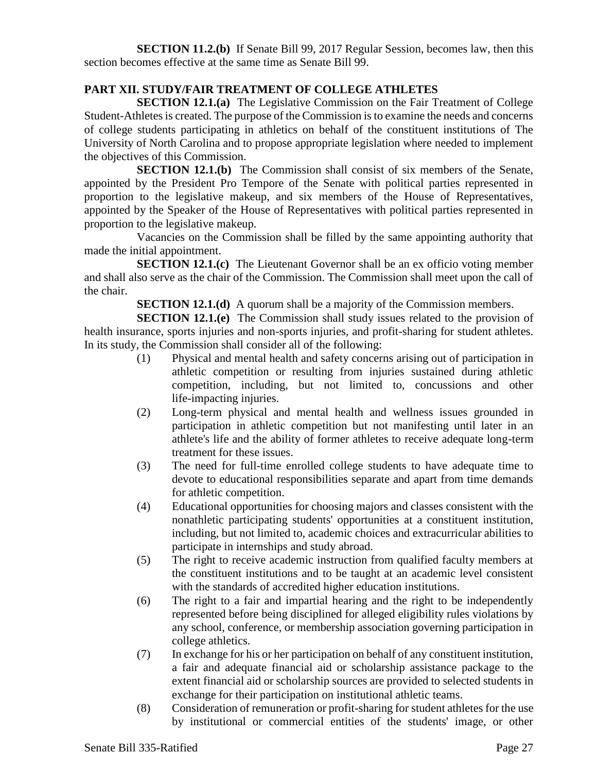**SECTION 11.2.(b)** If Senate Bill 99, 2017 Regular Session, becomes law, then this section becomes effective at the same time as Senate Bill 99.

### **PART XII. STUDY/FAIR TREATMENT OF COLLEGE ATHLETES**

**SECTION 12.1.(a)** The Legislative Commission on the Fair Treatment of College Student-Athletes is created. The purpose of the Commission is to examine the needs and concerns of college students participating in athletics on behalf of the constituent institutions of The University of North Carolina and to propose appropriate legislation where needed to implement the objectives of this Commission.

**SECTION 12.1.(b)** The Commission shall consist of six members of the Senate, appointed by the President Pro Tempore of the Senate with political parties represented in proportion to the legislative makeup, and six members of the House of Representatives, appointed by the Speaker of the House of Representatives with political parties represented in proportion to the legislative makeup.

Vacancies on the Commission shall be filled by the same appointing authority that made the initial appointment.

**SECTION 12.1.(c)** The Lieutenant Governor shall be an ex officio voting member and shall also serve as the chair of the Commission. The Commission shall meet upon the call of the chair.

**SECTION 12.1.(d)** A quorum shall be a majority of the Commission members.

**SECTION 12.1.(e)** The Commission shall study issues related to the provision of health insurance, sports injuries and non-sports injuries, and profit-sharing for student athletes. In its study, the Commission shall consider all of the following:

- (1) Physical and mental health and safety concerns arising out of participation in athletic competition or resulting from injuries sustained during athletic competition, including, but not limited to, concussions and other life-impacting injuries.
- (2) Long-term physical and mental health and wellness issues grounded in participation in athletic competition but not manifesting until later in an athlete's life and the ability of former athletes to receive adequate long-term treatment for these issues.
- (3) The need for full-time enrolled college students to have adequate time to devote to educational responsibilities separate and apart from time demands for athletic competition.
- (4) Educational opportunities for choosing majors and classes consistent with the nonathletic participating students' opportunities at a constituent institution, including, but not limited to, academic choices and extracurricular abilities to participate in internships and study abroad.
- (5) The right to receive academic instruction from qualified faculty members at the constituent institutions and to be taught at an academic level consistent with the standards of accredited higher education institutions.
- (6) The right to a fair and impartial hearing and the right to be independently represented before being disciplined for alleged eligibility rules violations by any school, conference, or membership association governing participation in college athletics.
- (7) In exchange for his or her participation on behalf of any constituent institution, a fair and adequate financial aid or scholarship assistance package to the extent financial aid or scholarship sources are provided to selected students in exchange for their participation on institutional athletic teams.
- (8) Consideration of remuneration or profit-sharing for student athletes for the use by institutional or commercial entities of the students' image, or other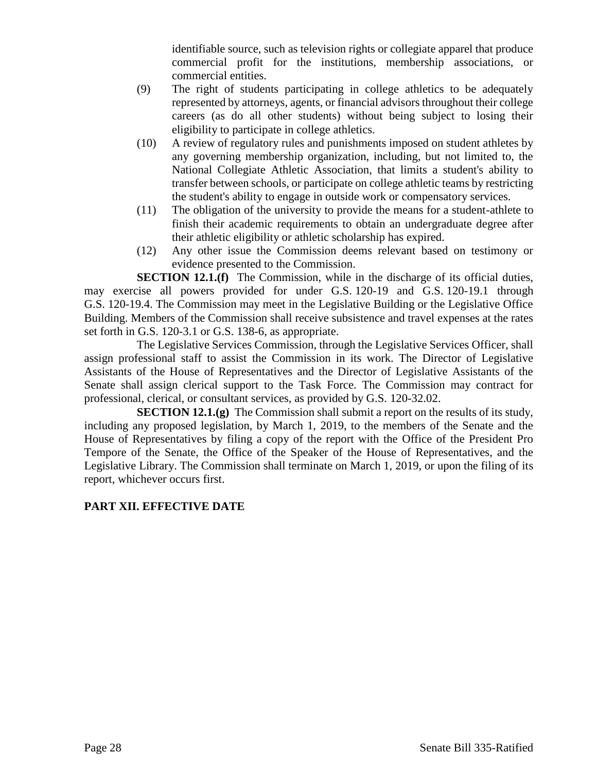identifiable source, such as television rights or collegiate apparel that produce commercial profit for the institutions, membership associations, or commercial entities.

- (9) The right of students participating in college athletics to be adequately represented by attorneys, agents, or financial advisors throughout their college careers (as do all other students) without being subject to losing their eligibility to participate in college athletics.
- (10) A review of regulatory rules and punishments imposed on student athletes by any governing membership organization, including, but not limited to, the National Collegiate Athletic Association, that limits a student's ability to transfer between schools, or participate on college athletic teams by restricting the student's ability to engage in outside work or compensatory services.
- (11) The obligation of the university to provide the means for a student-athlete to finish their academic requirements to obtain an undergraduate degree after their athletic eligibility or athletic scholarship has expired.
- (12) Any other issue the Commission deems relevant based on testimony or evidence presented to the Commission.

**SECTION 12.1.(f)** The Commission, while in the discharge of its official duties, may exercise all powers provided for under G.S. 120-19 and G.S. 120-19.1 through G.S. 120-19.4. The Commission may meet in the Legislative Building or the Legislative Office Building. Members of the Commission shall receive subsistence and travel expenses at the rates set forth in G.S. 120-3.1 or G.S. 138-6, as appropriate.

The Legislative Services Commission, through the Legislative Services Officer, shall assign professional staff to assist the Commission in its work. The Director of Legislative Assistants of the House of Representatives and the Director of Legislative Assistants of the Senate shall assign clerical support to the Task Force. The Commission may contract for professional, clerical, or consultant services, as provided by G.S. 120-32.02.

**SECTION 12.1.(g)** The Commission shall submit a report on the results of its study, including any proposed legislation, by March 1, 2019, to the members of the Senate and the House of Representatives by filing a copy of the report with the Office of the President Pro Tempore of the Senate, the Office of the Speaker of the House of Representatives, and the Legislative Library. The Commission shall terminate on March 1, 2019, or upon the filing of its report, whichever occurs first.

# **PART XII. EFFECTIVE DATE**